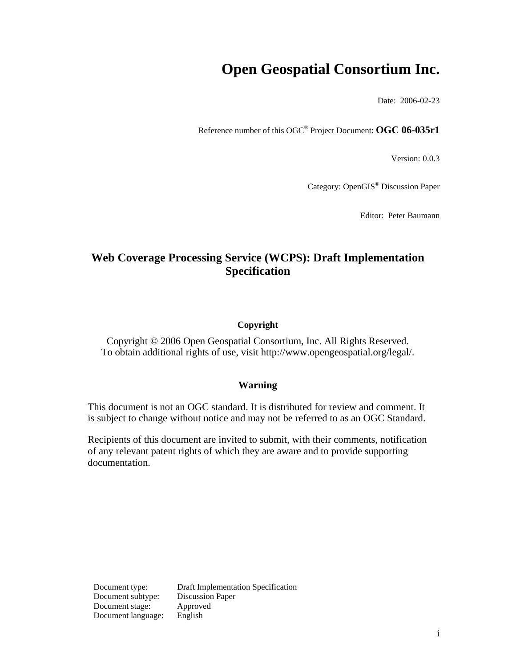# **Open Geospatial Consortium Inc.**

Date: 2006-02-23

Reference number of this OGC® Project Document: **OGC 06-035r1** 

Version: 0.0.3

Category: OpenGIS® Discussion Paper

Editor: Peter Baumann

## **Web Coverage Processing Service (WCPS): Draft Implementation Specification**

## **Copyright**

Copyright © 2006 Open Geospatial Consortium, Inc. All Rights Reserved. To obtain additional rights of use, visit [http://www.opengeospatial.org/legal/.](http://www.opengeospatial.org/legal/)

### **Warning**

This document is not an OGC standard. It is distributed for review and comment. It is subject to change without notice and may not be referred to as an OGC Standard.

Recipients of this document are invited to submit, with their comments, notification of any relevant patent rights of which they are aware and to provide supporting documentation.

Document subtype: Discussion Paper Document stage: Approved Document language: English

Document type: Draft Implementation Specification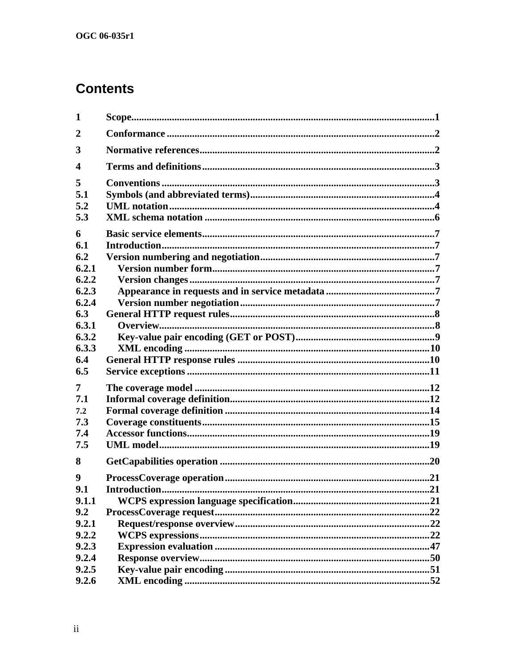# **Contents**

| $\mathbf 1$      |               |  |
|------------------|---------------|--|
| $\overline{2}$   |               |  |
| 3                |               |  |
| $\boldsymbol{4}$ |               |  |
| 5                |               |  |
| 5.1              |               |  |
| 5.2              |               |  |
| 5.3              |               |  |
| 6                |               |  |
| 6.1              |               |  |
| 6.2              |               |  |
| 6.2.1            |               |  |
| 6.2.2            |               |  |
| 6.2.3            |               |  |
| 6.2.4            |               |  |
| 6.3              |               |  |
| 6.3.1            |               |  |
| 6.3.2            |               |  |
| 6.3.3            |               |  |
| 6.4              |               |  |
| 6.5              |               |  |
| 7                |               |  |
| 7.1              |               |  |
| 7.2              |               |  |
| 7.3              |               |  |
| 7.4              |               |  |
| 7.5              |               |  |
| 8                |               |  |
| 9                |               |  |
| 9.1              | Introduction. |  |
| 9.1.1            |               |  |
| 9.2              |               |  |
| 9.2.1            |               |  |
| 9.2.2            |               |  |
| 9.2.3            |               |  |
| 9.2.4            |               |  |
| 9.2.5            |               |  |
| 9.2.6            |               |  |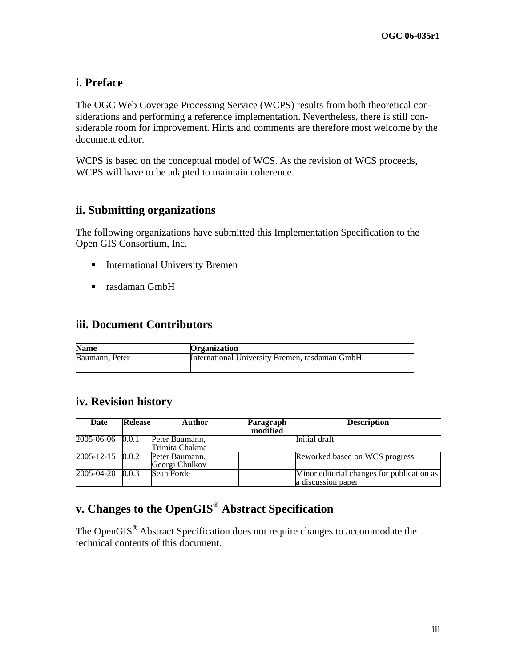## **i. Preface**

The OGC Web Coverage Processing Service (WCPS) results from both theoretical considerations and performing a reference implementation. Nevertheless, there is still considerable room for improvement. Hints and comments are therefore most welcome by the document editor.

WCPS is based on the conceptual model of WCS. As the revision of WCS proceeds, WCPS will have to be adapted to maintain coherence.

## **ii. Submitting organizations**

The following organizations have submitted this Implementation Specification to the Open GIS Consortium, Inc.

- **International University Bremen**
- rasdaman GmbH

## **iii. Document Contributors**

| <b>Name</b>    | <b>Organization</b>                            |
|----------------|------------------------------------------------|
| Baumann, Peter | International University Bremen, rasdaman GmbH |
|                |                                                |

## **iv. Revision history**

| Date                   | Release | <b>Author</b>  | Paragraph<br>modified | <b>Description</b>                         |
|------------------------|---------|----------------|-----------------------|--------------------------------------------|
| $2005 - 06 - 06$ 0.0.1 |         | Peter Baumann, |                       | Initial draft                              |
|                        |         | Trimita Chakma |                       |                                            |
| $2005 - 12 - 15$ 0.0.2 |         | Peter Baumann, |                       | Reworked based on WCS progress             |
|                        |         | Georgi Chulkov |                       |                                            |
| 2005-04-20 0.0.3       |         | Sean Forde     |                       | Minor editorial changes for publication as |
|                        |         |                |                       | a discussion paper                         |

# **v. Changes to the OpenGIS**® **Abstract Specification**

The OpenGIS**®** Abstract Specification does not require changes to accommodate the technical contents of this document.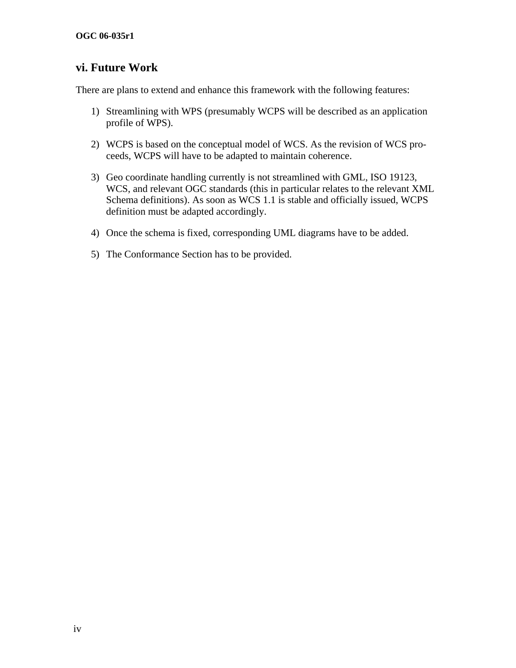## **vi. Future Work**

There are plans to extend and enhance this framework with the following features:

- 1) Streamlining with WPS (presumably WCPS will be described as an application profile of WPS).
- 2) WCPS is based on the conceptual model of WCS. As the revision of WCS proceeds, WCPS will have to be adapted to maintain coherence.
- 3) Geo coordinate handling currently is not streamlined with GML, ISO 19123, WCS, and relevant OGC standards (this in particular relates to the relevant XML Schema definitions). As soon as WCS 1.1 is stable and officially issued, WCPS definition must be adapted accordingly.
- 4) Once the schema is fixed, corresponding UML diagrams have to be added.
- 5) The Conformance Section has to be provided.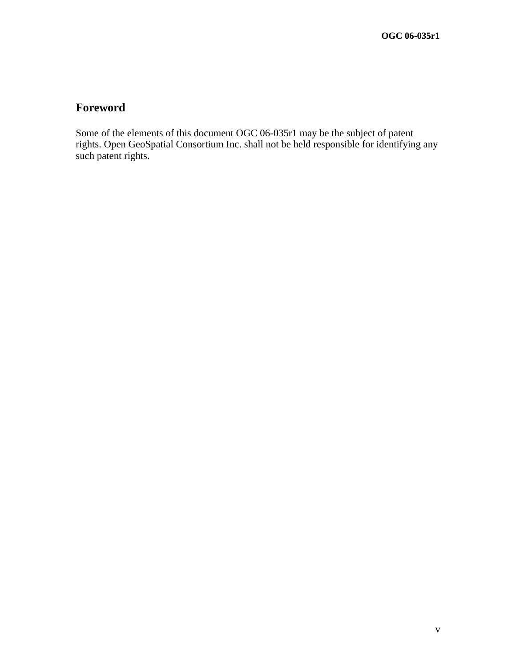## **Foreword**

Some of the elements of this document OGC 06-035r1 may be the subject of patent rights. Open GeoSpatial Consortium Inc. shall not be held responsible for identifying any such patent rights.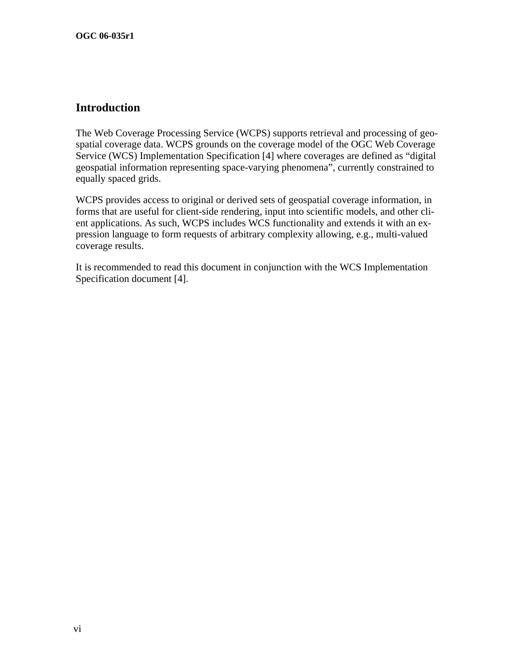## **Introduction**

The Web Coverage Processing Service (WCPS) supports retrieval and processing of geospatial coverage data. WCPS grounds on the coverage model of the OGC Web Coverage Service (WCS) Implementation Specification [4] where coverages are defined as "digital geospatial information representing space-varying phenomena", currently constrained to equally spaced grids.

WCPS provides access to original or derived sets of geospatial coverage information, in forms that are useful for client-side rendering, input into scientific models, and other client applications. As such, WCPS includes WCS functionality and extends it with an expression language to form requests of arbitrary complexity allowing, e.g., multi-valued coverage results.

It is recommended to read this document in conjunction with the WCS Implementation Specification document [4].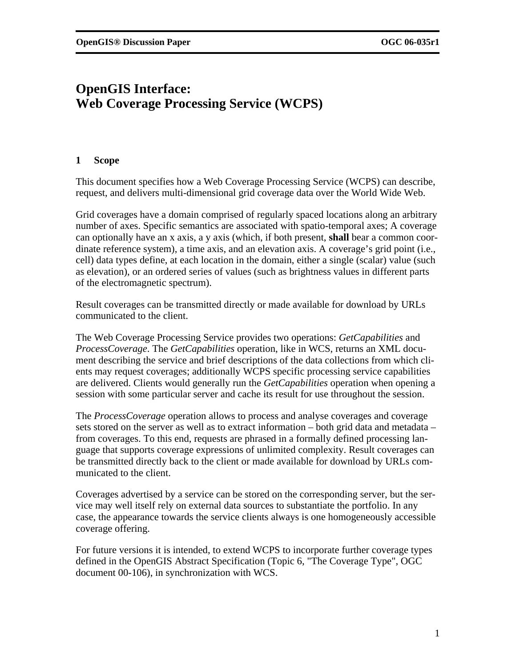## <span id="page-6-0"></span>**OpenGIS Interface: Web Coverage Processing Service (WCPS)**

## **1 Scope**

This document specifies how a Web Coverage Processing Service (WCPS) can describe, request, and delivers multi-dimensional grid coverage data over the World Wide Web.

Grid coverages have a domain comprised of regularly spaced locations along an arbitrary number of axes. Specific semantics are associated with spatio-temporal axes; A coverage can optionally have an x axis, a y axis (which, if both present, **shall** bear a common coordinate reference system), a time axis, and an elevation axis. A coverage's grid point (i.e., cell) data types define, at each location in the domain, either a single (scalar) value (such as elevation), or an ordered series of values (such as brightness values in different parts of the electromagnetic spectrum).

Result coverages can be transmitted directly or made available for download by URLs communicated to the client.

The Web Coverage Processing Service provides two operations: *GetCapabilities* and *ProcessCoverage*. The *GetCapabilities* operation, like in WCS, returns an XML document describing the service and brief descriptions of the data collections from which clients may request coverages; additionally WCPS specific processing service capabilities are delivered. Clients would generally run the *GetCapabilities* operation when opening a session with some particular server and cache its result for use throughout the session.

The *ProcessCoverage* operation allows to process and analyse coverages and coverage sets stored on the server as well as to extract information – both grid data and metadata – from coverages. To this end, requests are phrased in a formally defined processing language that supports coverage expressions of unlimited complexity. Result coverages can be transmitted directly back to the client or made available for download by URLs communicated to the client.

Coverages advertised by a service can be stored on the corresponding server, but the service may well itself rely on external data sources to substantiate the portfolio. In any case, the appearance towards the service clients always is one homogeneously accessible coverage offering.

For future versions it is intended, to extend WCPS to incorporate further coverage types defined in the OpenGIS Abstract Specification (Topic 6, "The Coverage Type", OGC document 00-106), in synchronization with WCS.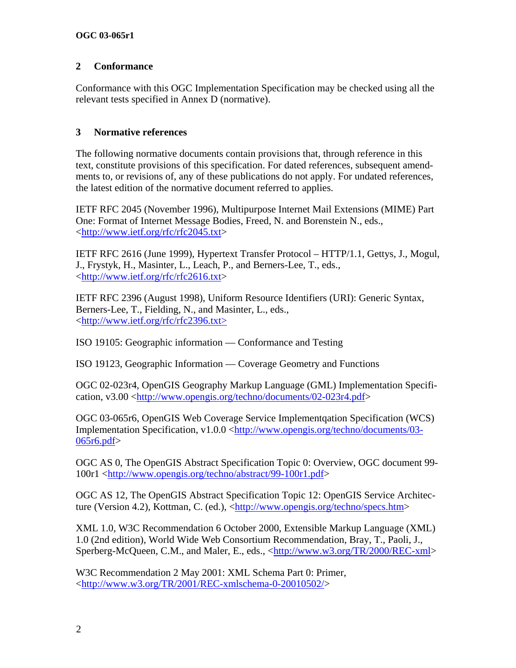## <span id="page-7-0"></span>**2 Conformance**

Conformance with this OGC Implementation Specification may be checked using all the relevant tests specified in Annex D (normative).

## **3 Normative references**

The following normative documents contain provisions that, through reference in this text, constitute provisions of this specification. For dated references, subsequent amendments to, or revisions of, any of these publications do not apply. For undated references, the latest edition of the normative document referred to applies.

IETF RFC 2045 (November 1996), Multipurpose Internet Mail Extensions (MIME) Part One: Format of Internet Message Bodies, Freed, N. and Borenstein N., eds., <[http://www.ietf.org/rfc/rfc2045.txt>](http://www.ietf.org/rfc/rfc2045.txt)

IETF RFC 2616 (June 1999), Hypertext Transfer Protocol – HTTP/1.1, Gettys, J., Mogul, J., Frystyk, H., Masinter, L., Leach, P., and Berners-Lee, T., eds., <[http://www.ietf.org/rfc/rfc2616.txt>](http://www.ietf.org/rfc/rfc2616.txt)

IETF RFC 2396 (August 1998), Uniform Resource Identifiers (URI): Generic Syntax, Berners-Lee, T., Fielding, N., and Masinter, L., eds., <[http://www.ietf.org/rfc/rfc2396.txt>](http://www.ietf.org/rfc/rfc2396.txt)

ISO 19105: Geographic information — Conformance and Testing

ISO 19123, Geographic Information — Coverage Geometry and Functions

OGC 02-023r4, OpenGIS Geography Markup Language (GML) Implementation Specifi-cation, v3.00 [<http://www.opengis.org/techno/documents/02-023r4.pdf](http://www.opengis.org/techno/documents/02-023r4.pdf)>

OGC 03-065r6, OpenGIS Web Coverage Service Implementqation Specification (WCS) Implementation Specification, v1.0.0 [<http://www.opengis.org/techno/documents/03-](http://www.opengis.org/techno/documents/03-065r6.pdf) [065r6.pdf>](http://www.opengis.org/techno/documents/03-065r6.pdf)

OGC AS 0, The OpenGIS Abstract Specification Topic 0: Overview, OGC document 99- 100r1 <[http://www.opengis.org/techno/abstract/99-100r1.pdf>](http://www.opengis.org/techno/abstract/99-100r1.pdf)

OGC AS 12, The OpenGIS Abstract Specification Topic 12: OpenGIS Service Architecture (Version 4.2), Kottman, C. (ed.), <[http://www.opengis.org/techno/specs.htm>](http://www.opengis.org/techno/specs.htm)

XML 1.0, W3C Recommendation 6 October 2000, Extensible Markup Language (XML) 1.0 (2nd edition), World Wide Web Consortium Recommendation, Bray, T., Paoli, J., Sperberg-McQueen, C.M., and Maler, E., eds., <<http://www.w3.org/TR/2000/REC-xml>>

W3C Recommendation 2 May 2001: XML Schema Part 0: Primer, <[http://www.w3.org/TR/2001/REC-xmlschema-0-20010502/>](http://www.w3.org/TR/2001/REC-xmlschema-0-20010502/)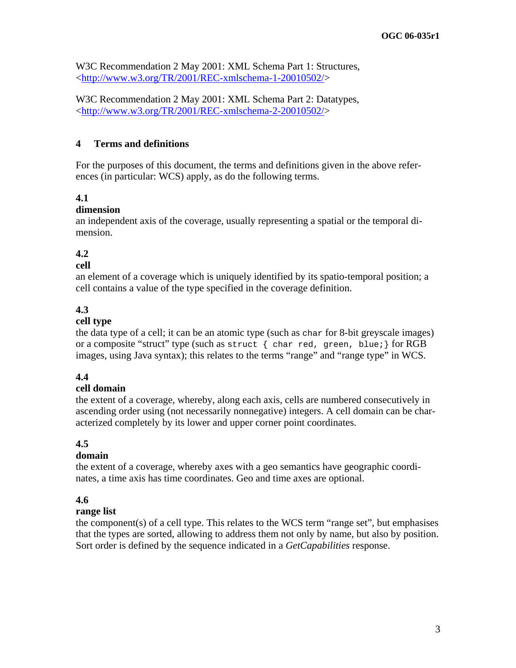<span id="page-8-0"></span>W3C Recommendation 2 May 2001: XML Schema Part 1: Structures, <[http://www.w3.org/TR/2001/REC-xmlschema-1-20010502/>](http://www.w3.org/TR/2001/REC-xmlschema-1-20010502/)

W3C Recommendation 2 May 2001: XML Schema Part 2: Datatypes, <[http://www.w3.org/TR/2001/REC-xmlschema-2-20010502/>](http://www.w3.org/TR/2001/REC-xmlschema-2-20010502/)

## **4 Terms and definitions**

For the purposes of this document, the terms and definitions given in the above references (in particular: WCS) apply, as do the following terms.

## **4.1**

#### **dimension**

an independent axis of the coverage, usually representing a spatial or the temporal dimension.

## **4.2**

#### **cell**

an element of a coverage which is uniquely identified by its spatio-temporal position; a cell contains a value of the type specified in the coverage definition.

## **4.3**

#### **cell type**

the data type of a cell; it can be an atomic type (such as char for 8-bit greyscale images) or a composite "struct" type (such as struct { char red, green, blue; } for RGB images, using Java syntax); this relates to the terms "range" and "range type" in WCS.

### **4.4**

### **cell domain**

the extent of a coverage, whereby, along each axis, cells are numbered consecutively in ascending order using (not necessarily nonnegative) integers. A cell domain can be characterized completely by its lower and upper corner point coordinates.

### **4.5**

### **domain**

the extent of a coverage, whereby axes with a geo semantics have geographic coordinates, a time axis has time coordinates. Geo and time axes are optional.

### **4.6**

### **range list**

the component(s) of a cell type. This relates to the WCS term "range set", but emphasises that the types are sorted, allowing to address them not only by name, but also by position. Sort order is defined by the sequence indicated in a *GetCapabilities* response.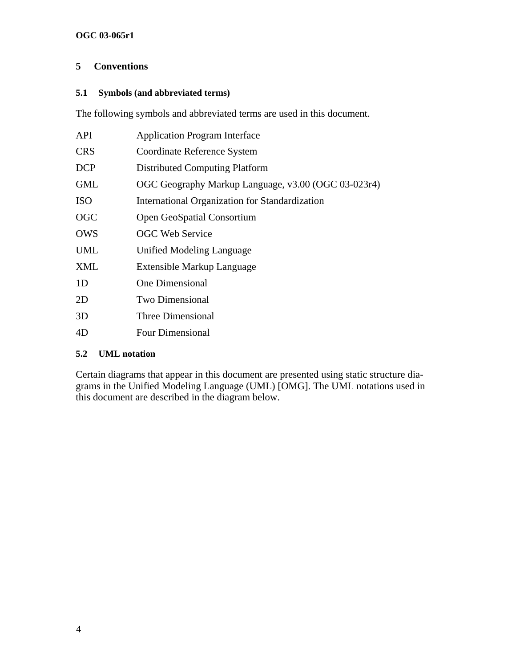## <span id="page-9-0"></span>**5 Conventions**

## **5.1 Symbols (and abbreviated terms)**

The following symbols and abbreviated terms are used in this document.

| <b>API</b> | <b>Application Program Interface</b>                |
|------------|-----------------------------------------------------|
| <b>CRS</b> | Coordinate Reference System                         |
| <b>DCP</b> | <b>Distributed Computing Platform</b>               |
| <b>GML</b> | OGC Geography Markup Language, v3.00 (OGC 03-023r4) |
| <b>ISO</b> | International Organization for Standardization      |
| <b>OGC</b> | Open GeoSpatial Consortium                          |
| <b>OWS</b> | <b>OGC Web Service</b>                              |
| UML        | Unified Modeling Language                           |
| <b>XML</b> | Extensible Markup Language                          |
| 1D         | One Dimensional                                     |
| 2D         | <b>Two Dimensional</b>                              |
| 3D         | Three Dimensional                                   |
| 4D         | Four Dimensional                                    |
|            |                                                     |

### **5.2 UML notation**

Certain diagrams that appear in this document are presented using static structure diagrams in the Unified Modeling Language (UML) [OMG]. The UML notations used in this document are described in the diagram below.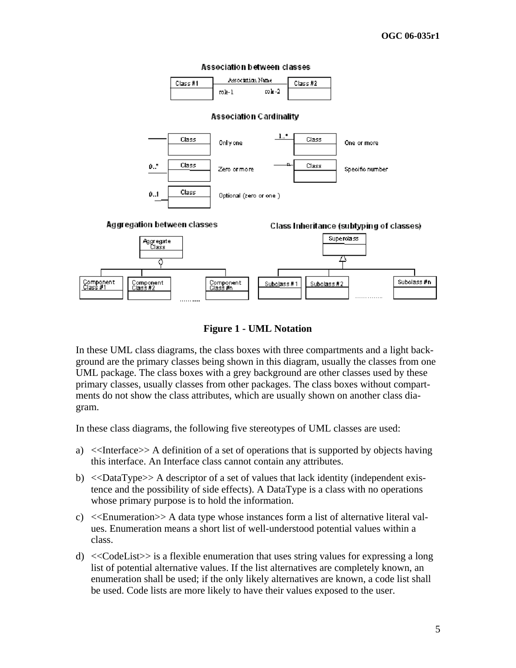

**Figure 1 - UML Notation** 

In these UML class diagrams, the class boxes with three compartments and a light background are the primary classes being shown in this diagram, usually the classes from one UML package. The class boxes with a grey background are other classes used by these primary classes, usually classes from other packages. The class boxes without compartments do not show the class attributes, which are usually shown on another class diagram.

In these class diagrams, the following five stereotypes of UML classes are used:

- a) <<Interface>> A definition of a set of operations that is supported by objects having this interface. An Interface class cannot contain any attributes.
- b) <<DataType>> A descriptor of a set of values that lack identity (independent existence and the possibility of side effects). A DataType is a class with no operations whose primary purpose is to hold the information.
- c)  $\ll$ Enumeration  $\gg$  A data type whose instances form a list of alternative literal values. Enumeration means a short list of well-understood potential values within a class.
- d) <<CodeList>> is a flexible enumeration that uses string values for expressing a long list of potential alternative values. If the list alternatives are completely known, an enumeration shall be used; if the only likely alternatives are known, a code list shall be used. Code lists are more likely to have their values exposed to the user.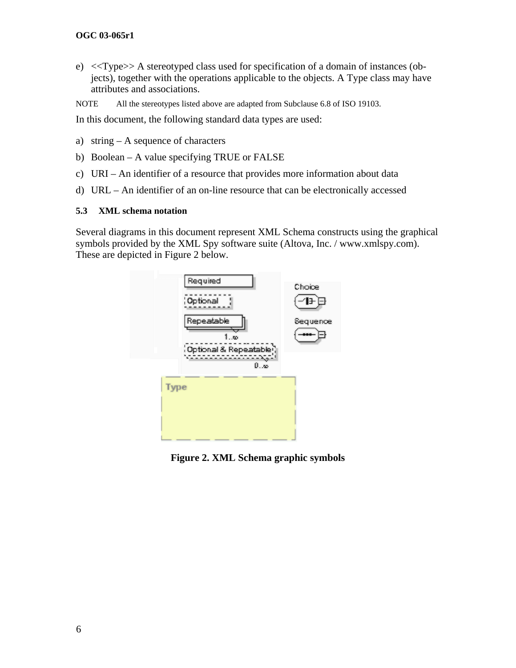#### <span id="page-11-0"></span>**OGC 03-065r1**

e) <<Type>> A stereotyped class used for specification of a domain of instances (objects), together with the operations applicable to the objects. A Type class may have attributes and associations.

NOTE All the stereotypes listed above are adapted from Subclause 6.8 of ISO 19103.

In this document, the following standard data types are used:

- a) string A sequence of characters
- b) Boolean A value specifying TRUE or FALSE
- c) URI An identifier of a resource that provides more information about data
- d) URL An identifier of an on-line resource that can be electronically accessed

#### **5.3 XML schema notation**

Several diagrams in this document represent XML Schema constructs using the graphical symbols provided by the XML Spy software suite (Altova, Inc. / www.xmlspy.com). These are depicted in Figure 2 below.



**Figure 2. XML Schema graphic symbols**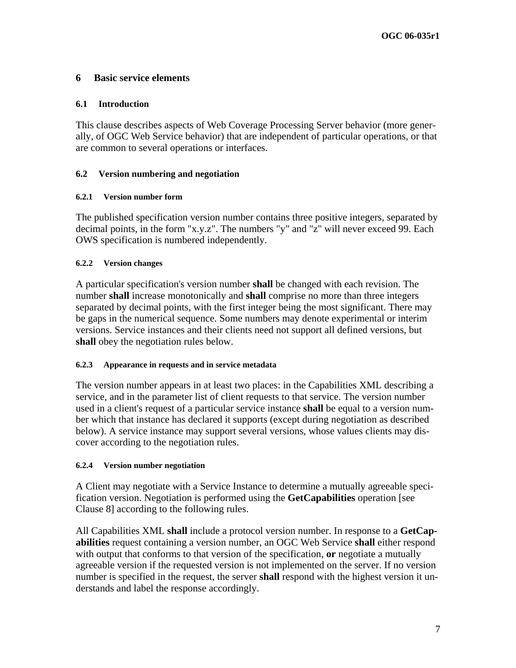## <span id="page-12-0"></span>**6 Basic service elements**

#### **6.1 Introduction**

This clause describes aspects of Web Coverage Processing Server behavior (more generally, of OGC Web Service behavior) that are independent of particular operations, or that are common to several operations or interfaces.

### **6.2 Version numbering and negotiation**

#### **6.2.1 Version number form**

The published specification version number contains three positive integers, separated by decimal points, in the form "x.y.z". The numbers "y" and "z" will never exceed 99. Each OWS specification is numbered independently.

#### **6.2.2 Version changes**

A particular specification's version number **shall** be changed with each revision. The number **shall** increase monotonically and **shall** comprise no more than three integers separated by decimal points, with the first integer being the most significant. There may be gaps in the numerical sequence. Some numbers may denote experimental or interim versions. Service instances and their clients need not support all defined versions, but **shall** obey the negotiation rules below.

#### **6.2.3 Appearance in requests and in service metadata**

The version number appears in at least two places: in the Capabilities XML describing a service, and in the parameter list of client requests to that service. The version number used in a client's request of a particular service instance **shall** be equal to a version number which that instance has declared it supports (except during negotiation as described below). A service instance may support several versions, whose values clients may discover according to the negotiation rules.

#### **6.2.4 Version number negotiation**

A Client may negotiate with a Service Instance to determine a mutually agreeable specification version. Negotiation is performed using the **GetCapabilities** operation [see Clause [8\]](#page-25-1) according to the following rules.

All Capabilities XML **shall** include a protocol version number. In response to a **GetCapabilities** request containing a version number, an OGC Web Service **shall** either respond with output that conforms to that version of the specification, **or** negotiate a mutually agreeable version if the requested version is not implemented on the server. If no version number is specified in the request, the server **shall** respond with the highest version it understands and label the response accordingly.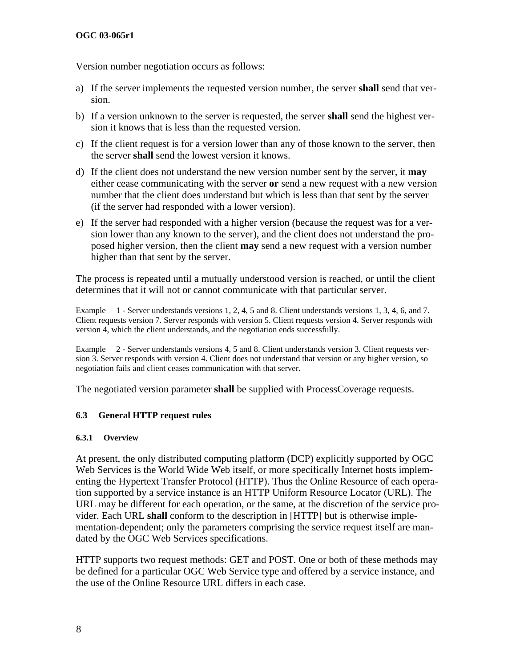<span id="page-13-0"></span>Version number negotiation occurs as follows:

- a) If the server implements the requested version number, the server **shall** send that version.
- b) If a version unknown to the server is requested, the server **shall** send the highest version it knows that is less than the requested version.
- c) If the client request is for a version lower than any of those known to the server, then the server **shall** send the lowest version it knows.
- d) If the client does not understand the new version number sent by the server, it **may** either cease communicating with the server **or** send a new request with a new version number that the client does understand but which is less than that sent by the server (if the server had responded with a lower version).
- e) If the server had responded with a higher version (because the request was for a version lower than any known to the server), and the client does not understand the proposed higher version, then the client **may** send a new request with a version number higher than that sent by the server.

The process is repeated until a mutually understood version is reached, or until the client determines that it will not or cannot communicate with that particular server.

Example 1 - Server understands versions 1, 2, 4, 5 and 8. Client understands versions 1, 3, 4, 6, and 7. Client requests version 7. Server responds with version 5. Client requests version 4. Server responds with version 4, which the client understands, and the negotiation ends successfully.

Example 2 - Server understands versions 4, 5 and 8. Client understands version 3. Client requests version 3. Server responds with version 4. Client does not understand that version or any higher version, so negotiation fails and client ceases communication with that server.

The negotiated version parameter **shall** be supplied with ProcessCoverage requests.

### **6.3 General HTTP request rules**

#### **6.3.1 Overview**

At present, the only distributed computing platform (DCP) explicitly supported by OGC Web Services is the World Wide Web itself, or more specifically Internet hosts implementing the Hypertext Transfer Protocol (HTTP). Thus the Online Resource of each operation supported by a service instance is an HTTP Uniform Resource Locator (URL). The URL may be different for each operation, or the same, at the discretion of the service p rovider. Each URL **shall** conform to the description in [HTTP] but is otherwise implementation-dependent; only the parameters comprising the service request itself are mandated by the OGC Web Services specifications.

HTTP supports two request methods: GET and POST. One or both of these methods may be defined for a particular OGC Web Service type and offered by a service instance, and the use of the Online Resource URL differs in each case.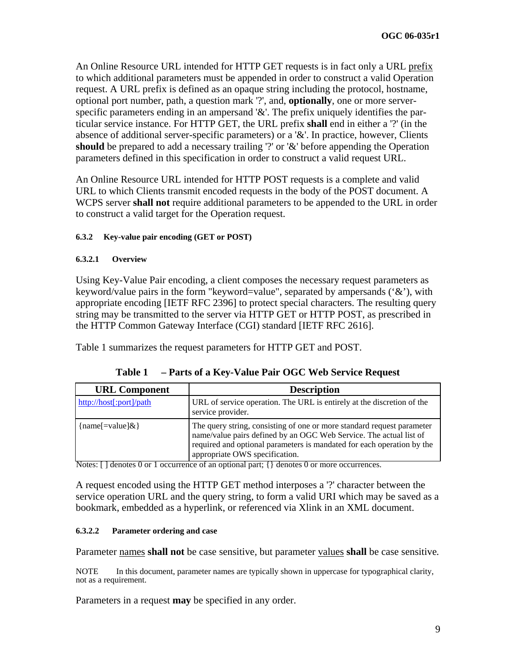<span id="page-14-0"></span>An Online Resource URL intended for HTTP GET requests is in fact only a URL prefix to which additional parameters must be appended in order to construct a valid Operation request. A URL prefix is defined as an opaque string including the protocol, hostname, optional port number, path, a question mark '?', and, **optionally**, one or more serverspecific parameters ending in an ampersand '&'. The prefix uniquely identifies the particular service instance. For HTTP GET, the URL prefix **shall** end in either a '?' (in the absence of additional server-specific parameters) or a '&'. In practice, however, Clients should be prepared to add a necessary trailing '?' or '&' before appending the Operation parameters defined in this specification in order to construct a valid request URL.

An Online Resource URL intended for HTTP POST requests is a complete and valid URL to which Clients transmit encoded requests in the body of the POST document. A WCPS server **shall not** require additional parameters to be appended to the URL in order to construct a valid target for the Operation request.

### **6.3.2 Key-value pair encoding (GET or POST)**

### **6.3.2.1 Overview**

Using Key-Value Pair encoding, a client composes the necessary request parameters as keyword/value pairs in the form "keyword=value", separated by ampersands ('&'), with appropriate encoding [IETF RFC 2396] to protect special characters. The resulting query string may be transmitted to the server via HTTP GET or HTTP POST, as prescribed in the HTTP Common Gateway Interface (CGI) standard [IETF RFC 2616].

[Table 1](#page-14-1) summarizes the request parameters for HTTP GET and POST.

|  | Table 1 – Parts of a Key-Value Pair OGC Web Service Request |
|--|-------------------------------------------------------------|
|--|-------------------------------------------------------------|

<span id="page-14-1"></span>

| <b>URL Component</b>    | <b>Description</b>                                                                                                                                                                                                                                       |  |
|-------------------------|----------------------------------------------------------------------------------------------------------------------------------------------------------------------------------------------------------------------------------------------------------|--|
| http://host[:port]/path | URL of service operation. The URL is entirely at the discretion of the<br>service provider.                                                                                                                                                              |  |
| { $name[=value]$ &}     | The query string, consisting of one or more standard request parameter<br>name/value pairs defined by an OGC Web Service. The actual list of<br>required and optional parameters is mandated for each operation by the<br>appropriate OWS specification. |  |

Notes:  $\lceil \cdot \rceil$  denotes 0 or 1 occurrence of an optional part;  $\lceil \cdot \rceil$  denotes 0 or more occurrences.

A request encoded using the HTTP GET method interposes a '?' character between the service operation URL and the query string, to form a valid URI which may be saved as a bookmark, embedded as a hyperlink, or referenced via Xlink in an XML document.

### **6.3.2.2 Parameter ordering and case**

Parameter names **shall not** be case sensitive, but parameter values **shall** be case sensitive*.*

NOTE In this document, parameter names are typically shown in uppercase for typographical clarity, not as a requirement.

Parameters in a request **may** be specified in any order.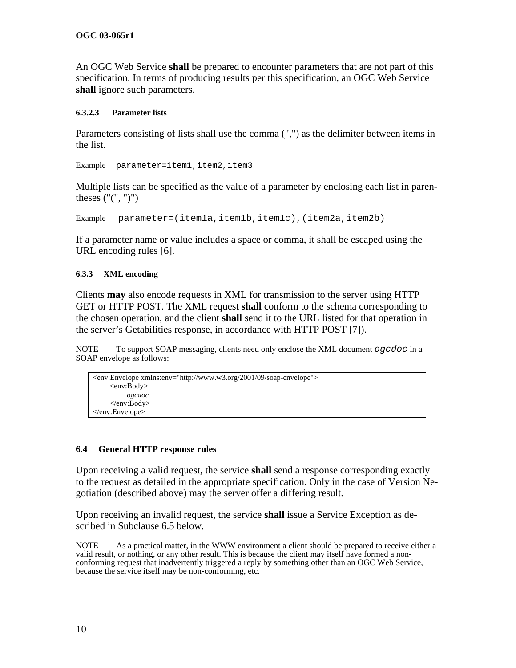<span id="page-15-0"></span>An OGC Web Service **shall** be prepared to encounter parameters that are not part of this specification. In terms of producing results per this specification, an OGC Web Service **shall** ignore such parameters.

#### **6.3.2.3 Parameter lists**

Parameters consisting of lists shall use the comma (",") as the delimiter between items in the list.

Example parameter=item1, item2, item3

Multiple lists can be specified as the value of a parameter by enclosing each list in parentheses ("(", ")")

Example parameter=(item1a,item1b,item1c),(item2a,item2b)

If a parameter name or value includes a space or comma, it shall be escaped using the URL encoding rules [6].

#### **6.3.3 XML encoding**

Clients **may** also encode requests in XML for transmission to the server using HTTP GET or HTTP POST. The XML request **shall** conform to the schema corresponding to the chosen operation, and the client **shall** send it to the URL listed for that operation in the server's Getabilities response, in accordance with HTTP POST [7]).

NOTE To support SOAP messaging, clients need only enclose the XML document *ogcdoc* in a SOAP envelope as follows:

```
<env:Envelope xmlns:env="http://www.w3.org/2001/09/soap-envelope"> 
     <env:Body> 
          ogcdoc 
     </env:Body> 
</env:Envelope>
```
#### **6.4 General HTTP response rules**

Upon receiving a valid request, the service **shall** send a response corresponding exactly to the request as detailed in the appropriate specification. Only in the case of Version N egotiation (described above) may the server offer a differing result.

Upon receiving an invalid request, the service **shall** issue a Service Exception as described in Subclause 6.5 below.

NOTEAs a practical matter, in the WWW environment a client should be prepared to receive either a valid result, or nothing, or any other result. This is because the client may itself have formed a nonconforming request that inadvertently triggered a reply by something other than an OGC Web Service, because the service itself may be non-conforming, etc.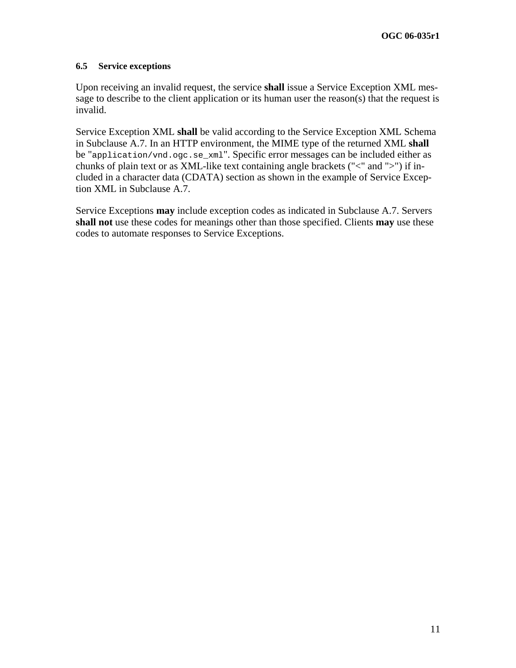#### <span id="page-16-0"></span>**6.5 Service exceptions**

Upon receiving an invalid request, the service **shall** issue a Service Exception XML message to describe to the client application or its human user the reason(s) that the request is invalid.

Service Exception XML **shall** be valid according to the Service Exception XML Schema in Subclause A.7. In an HTTP environment, the MIME type of the returned XML **shall** be "application/vnd.ogc.se\_xml". Specific error messages can be included either as chunks of plain text or as XML-like text containing angle brackets ("<" and ">") if included in a character data (CDATA) section as shown in the example of Service Exception XML in Subclause A.7.

Service Exceptions **may** include exception codes as indicated in Subclause A.7. Servers **shall not** use these codes for meanings other than those specified. Clients **may** use these codes to automate responses to Service Exceptions.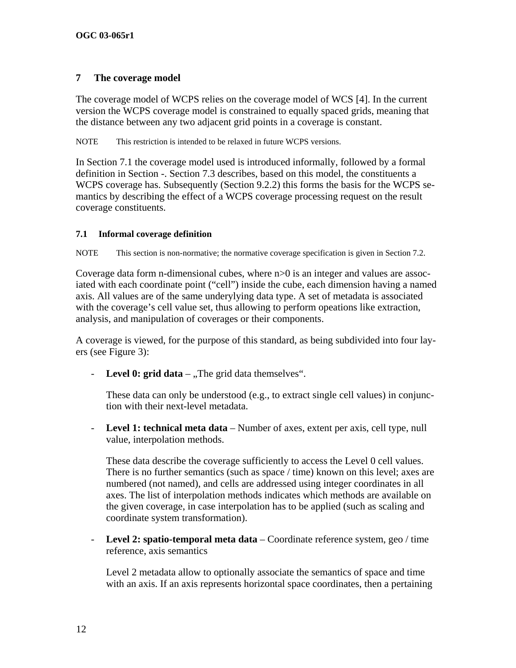## <span id="page-17-1"></span><span id="page-17-0"></span>**7 The coverage model**

The coverage model of WCPS relies on the coverage model of WCS [4]. In the current version the WCPS coverage model is constrained to equally spaced grids, meaning that the distance between any two adjacent grid points in a coverage is constant.

NOTE This restriction is intended to be relaxed in future WCPS versions.

In Section [7.1](#page-18-0) the coverage model used is introduced informally, followed by a formal definition in Section [-](#page-18-1). Section [7.3](#page-20-1) describes, based on this model, the constituents a WCPS coverage has. Subsequently (Section [9.2.2\)](#page-27-1) this forms the basis for the WCPS semantics by describing the effect of a WCPS coverage processing request on the result coverage constituents.

### **7.1 Informal coverage definition**

NOTE This section is non-normative; the normative coverage specification is given in Section [7.2.](#page-19-1)

Coverage data form n-dimensional cubes, where  $n>0$  is an integer and values are associated with each coordinate point ("cell") inside the cube, each dimension having a named axis. All values are of the same underylying data type. A set of metadata is associated with the coverage's cell value set, thus allowing to perform opeations like extraction, analysis, and manipulation of coverages or their components.

A coverage is viewed, for the purpose of this standard, as being subdivided into four layers (see Figure 3):

- **Level 0: grid data**  $-$  "The grid data themselves".

These data can only be understood (e.g., to extract single cell values) in conjunction with their next-level metadata.

- **Level 1: technical meta data** – Number of axes, extent per axis, cell type, null value, interpolation methods.

These data describe the coverage sufficiently to access the Level 0 cell values. There is no further semantics (such as space / time) known on this level; axes are numbered (not named), and cells are addressed using integer coordinates in all axes. The list of interpolation methods indicates which methods are available on the given coverage, in case interpolation has to be applied (such as scaling and coordinate system transformation).

- **Level 2: spatio-temporal meta data** – Coordinate reference system, geo / time reference, axis semantics

Level 2 metadata allow to optionally associate the semantics of space and time with an axis. If an axis represents horizontal space coordinates, then a pertaining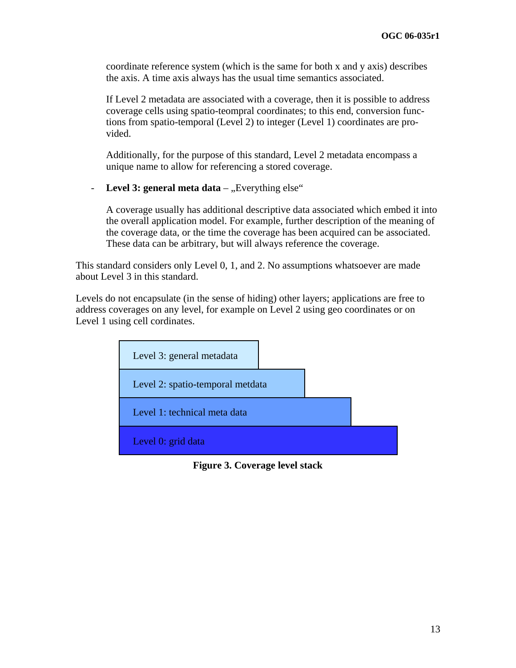coordinate reference system (which is the same for both x and y axis) describes the axis. A time axis always has the usual time semantics associated.

If Level 2 metadata are associated with a coverage, then it is possible to address coverage cells using spatio-teompral coordinates; to this end, conversion functions from spatio-temporal (Level 2) to integer (Level 1) coordinates are provided.

Additionally, for the purpose of this standard, Level 2 metadata encompass a unique name to allow for referencing a stored coverage.

- Level 3: general meta data – "Everything else"

A coverage usually has additional descriptive data associated which embed it into the overall application model. For example, further description of the meaning of the coverage data, or the time the coverage has been acquired can be associated. These data can be arbitrary, but will always reference the coverage.

<span id="page-18-0"></span>This standard considers only Level 0, 1, and 2. No assumptions whatsoever are made about Level 3 in this standard.

<span id="page-18-1"></span>Levels do not encapsulate (in the sense of hiding) other layers; applications are free to address coverages on any level, for example on Level 2 using geo coordinates or on Level 1 using cell cordinates.



**Figure 3. Coverage level stack**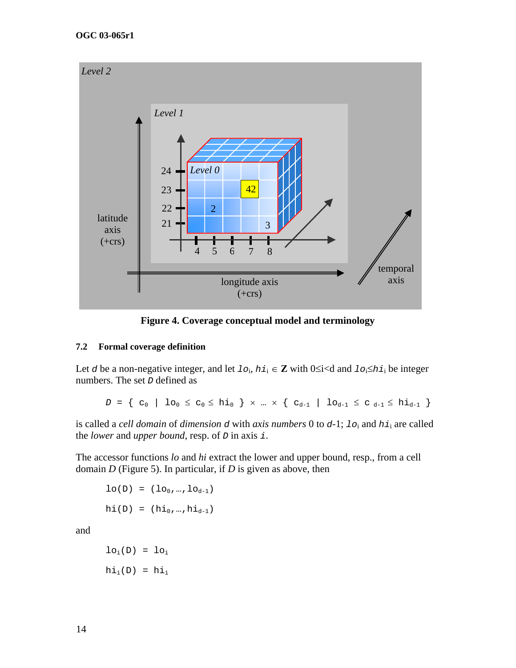<span id="page-19-0"></span>

**Figure 4. Coverage conceptual model and terminology** 

#### <span id="page-19-1"></span>**7.2 Formal coverage definition**

Let *d* be a non-negative integer, and let  $1\circ_i$ ,  $hi_i \in \mathbb{Z}$  with  $0 \le i \le d$  and  $1\circ_i \le hi_i$  be integer numbers. The set *D* defined as

 $D = \{ c_0 \mid l o_0 \le c_0 \le h i_0 \} \times ... \times \{ c_{d-1} \mid l o_{d-1} \le c_{d-1} \le h i_{d-1} \}$ 

is called a *cell domain* of *dimension d* with *axis numbers* 0 to *d*-1; *lo*i and *hi*i are called the *lower* and *upper bound*, resp. of *D* in axis *i*.

The accessor functions *lo* and *hi* extract the lower and upper bound, resp., from a cell domain *D* (Figure 5). In particular, if *D* is given as above, then

$$
lo(D) = (lo_0, ..., lo_{d-1})
$$
  
hi(D) =  $(hi_0, ..., hi_{d-1})$ 

and

$$
lo_i(D) = lo_i
$$
  
 $hi_i(D) = hi_i$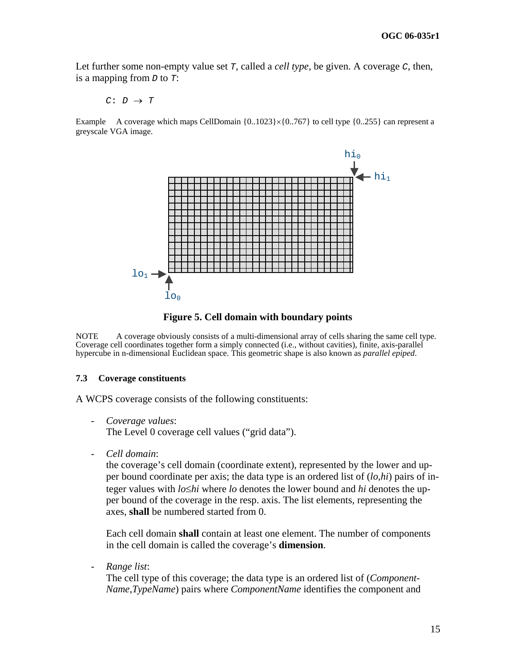<span id="page-20-0"></span>Let further some non-empty value set *T*, called a *cell type*, be given. A coverage *C*, then, is a mapping from *D* to *T*:

 $C: D \rightarrow T$ 

Example A coverage which maps CellDomain  $\{0..1023\} \times \{0..767\}$  to cell type  $\{0..255\}$  can represent a greyscale VGA image.



**Figure 5. Cell domain with boundary points** 

NOTE A coverage obviously consists of a multi-dimensional array of cells sharing the same cell type. Coverage cell coordinates together form a simply connected (i.e., without cavities), finite, axis-parallel hypercube in n-dimensional Euclidean space. This geometric shape is also known as *parallel epiped*.

#### <span id="page-20-1"></span>**7.3 Coverage constituents**

A WCPS coverage consists of the following constituents:

- *Coverage values*: The Level 0 coverage cell values ("grid data").
- *Cell domain*:

the coverage's cell domain (coordinate extent), represented by the lower and upper bound coordinate per axis; the data type is an ordered list of (*lo*,*hi*) pairs of integer values with *lo*≤*hi* where *lo* denotes the lower bound and *hi* denotes the upper bound of the coverage in the resp. axis. The list elements, representing the axes, **shall** be numbered started from 0.

Each cell domain **shall** contain at least one element. The number of components in the cell domain is called the coverage's **dimension**.

- *Range list*:

The cell type of this coverage; the data type is an ordered list of (*Component-Name*,*TypeName*) pairs where *ComponentName* identifies the component and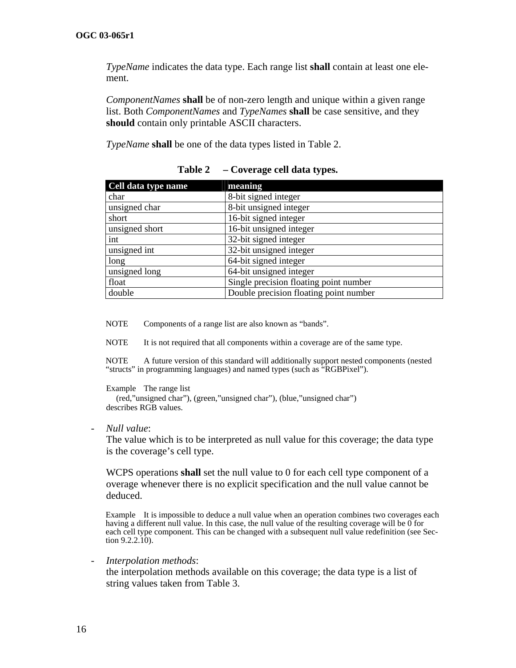*TypeName* indicates the data type. Each range list **shall** contain at least one element.

*ComponentNames* **shall** be of non-zero length and unique within a given range list. Both *ComponentNames* and *TypeNames* **shall** be case sensitive, and they **should** contain only printable ASCII characters.

*TypeName* **shall** be one of the data types listed in [Table 2.](#page-21-0)

<span id="page-21-0"></span>

| Cell data type name | meaning                                |  |
|---------------------|----------------------------------------|--|
| char                | 8-bit signed integer                   |  |
| unsigned char       | 8-bit unsigned integer                 |  |
| short               | 16-bit signed integer                  |  |
| unsigned short      | 16-bit unsigned integer                |  |
| int                 | 32-bit signed integer                  |  |
| unsigned int        | 32-bit unsigned integer                |  |
| long                | 64-bit signed integer                  |  |
| unsigned long       | 64-bit unsigned integer                |  |
| float               | Single precision floating point number |  |
| double              | Double precision floating point number |  |

| Table 2 | - Coverage cell data types. |
|---------|-----------------------------|
|---------|-----------------------------|

NOTE Components of a range list are also known as "bands".

NOTE It is not required that all components within a coverage are of the same type.

NOTE A future version of this standard will additionally support nested components (nested "structs" in programming languages) and named types (such as "RGBPixel").

Example The range list (red,"unsigned char"), (green,"unsigned char"), (blue,"unsigned char") describes RGB values.

- *Null value*:

The value which is to be interpreted as null value for this coverage; the data type is the coverage's cell type.

WCPS operations **shall** set the null value to 0 for each cell type component of a overage whenever there is no explicit specification and the null value cannot be deduced.

Example It is impossible to deduce a null value when an operation combines two coverages each having a different null value. In this case, the null value of the resulting coverage will be  $\tilde{0}$  for each cell type component. This can be changed with a subsequent null value redefinition (see Section  $9.2.2.\overline{10}$ .

- *Interpolation methods*:

the interpolation methods available on this coverage; the data type is a list of string values taken from [Table 3.](#page-22-0)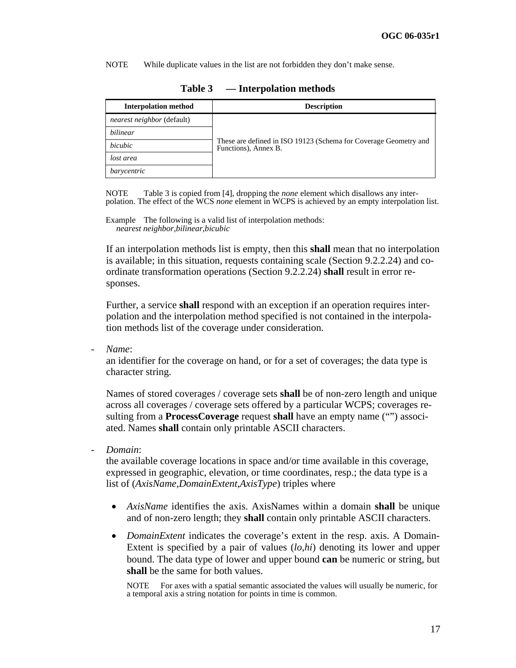NOTE While duplicate values in the list are not forbidden they don't make sense.

<span id="page-22-0"></span>

| <b>Interpolation method</b>       | <b>Description</b>                                                                       |
|-----------------------------------|------------------------------------------------------------------------------------------|
| <i>nearest neighbor</i> (default) |                                                                                          |
| bilinear                          |                                                                                          |
| bicubic                           | These are defined in ISO 19123 (Schema for Coverage Geometry and<br>Functions), Annex B. |
| lost area                         |                                                                                          |
| barycentric                       |                                                                                          |

| Table 3 | <b>Interpolation methods</b> |  |
|---------|------------------------------|--|
|---------|------------------------------|--|

NOTE [Table 3](#page-22-0) is copied from [4], dropping the *none* element which disallows any interpolation. The effect of the WCS *none* element in WCPS is achieved by an empty interpolation list.

Example The following is a valid list of interpolation methods: *nearest neighbor*,*bilinear*,*bicubic*

If an interpolation methods list is empty, then this **shall** mean that no interpolation is available; in this situation, requests containing scale (Section [9.2.2.24](#page-46-0)) and coordinate transformation operations (Section [9.2.2.24](#page-46-0)) **shall** result in error responses.

Further, a service **shall** respond with an exception if an operation requires i nterpolation and the interpolation method specified is not contained in the interp ola tion methods list of the coverage under consideration.

- *Name*:

an identifier for the coverage on hand, or for a set of coverages; the data type is character string.

Names of stored coverages / coverage sets **shall** be of non-zero length and unique across all coverages / coverage sets offered by a particular WCPS; coverages resulting from a **ProcessCoverage** request **shall** have an empty name ("") associated. Names **shall** contain only printable ASCII characters.

- *Domain*:

the available coverage locations in space and/or time available in this coverage, expressed in geographic, elevation, or time coordinates, resp.; the data type is a list of (*AxisName*,*DomainExtent*,*AxisType*) triples where

- *AxisName* identifies the axis. AxisNames within a domain **shall** be unique and of non-zero length; they **shall** contain only printable ASCII characters.
- *DomainExtent* indicates the coverage's extent in the resp. axis. A Domain-Extent is specified by a pair of values (*lo*,*hi*) denoting its lower and upper bound. The data type of lower and upper bound **can** be numeric or string, but **shall** be the same for both values.

NOTE For axes with a spatial semantic associated the values will usually be numeric, for a temporal axis a string notation for points in time is common.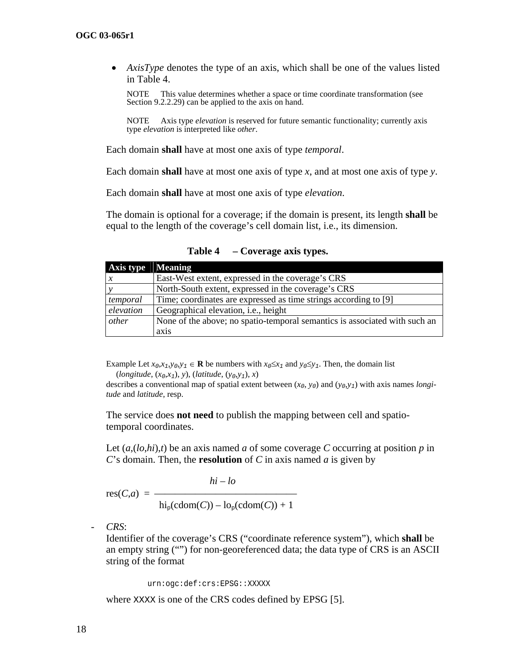• *AxisType* denotes the type of an axis, which shall be one of the values listed in [Table 4](#page-23-0).

NOTE This value determines whether a space or time coordinate transformation (see Section [9.2.2.29\)](#page-51-0) can be applied to the axis on hand.

NOTE Axis type *elevation* is reserved for future semantic functionality; currently axis type *elevation* is interpreted like *other*.

Each domain **shall** have at most one axis of type *temporal*.

Each domain **shall** have at most one axis of type *x*, and at most one axis of type *y*.

Each domain **shall** have at most one axis of type *elevation*.

The domain is optional for a coverage; if the domain is present, its length **shall** be equal to the length of the coverage's cell domain list, i.e., its dimension.

<span id="page-23-0"></span>

| Axis type | <b>Meaning</b>                                                             |
|-----------|----------------------------------------------------------------------------|
|           | East-West extent, expressed in the coverage's CRS                          |
|           | North-South extent, expressed in the coverage's CRS                        |
| temporal  | Time; coordinates are expressed as time strings according to [9]           |
| elevation | Geographical elevation, i.e., height                                       |
| other     | None of the above; no spatio-temporal semantics is associated with such an |
|           | axis                                                                       |

**Table 4 – Coverage axis types.** 

Example Let  $x_0, x_1, y_0, y_1 \in \mathbf{R}$  be numbers with  $x_0 \le x_1$  and  $y_0 \le y_1$ . Then, the domain list (*longitude*, (*x0*,*x1*), *y*), (*latitude*, (*y0*,*y1*), *x*)

describes a conventional map of spatial extent between  $(x_0, y_0)$  and  $(y_0, y_1)$  with axis names *longitude* and *latitude*, resp.

The service does **not need** to publish the mapping between cell and spatiotemporal coordinates.

Let  $(a,(lo,hi),t)$  be an axis named *a* of some coverage *C* occurring at position *p* in *C*'s domain. Then, the **resolution** of *C* in axis named *a* is given by

$$
hi - lo
$$

$$
res(C,a) = \frac{hi - lo}{hi_{p}(cdom(C)) - lo_{p}(cdom(C)) + 1}
$$

- *CRS*:

Identifier of the coverage's CRS ("coordinate reference system"), which **shall** be an empty string ("") for non-georeferenced data; the data type of CRS is an ASCII string of the format

urn:ogc:def:crs:EPSG::XXXXX

where XXXX is one of the CRS codes defined by EPSG [5].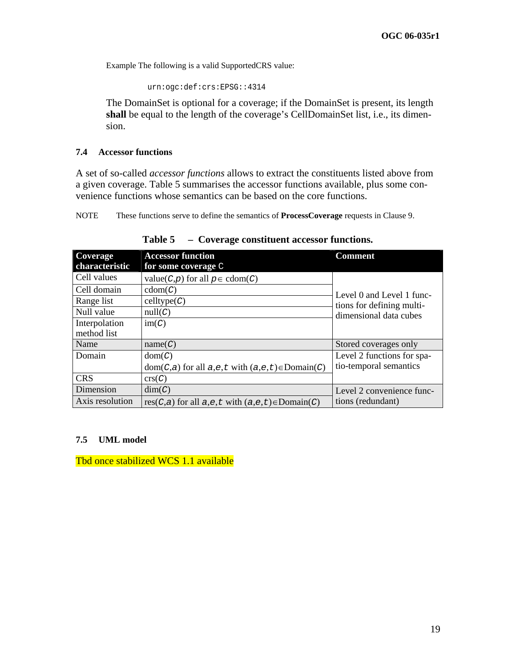<span id="page-24-0"></span>Example The following is a valid SupportedCRS value:

urn:ogc:def:crs:EPSG::4314

The DomainSet is optional for a coverage; if the DomainSet is present, its length **shall** be equal to the length of the coverage's CellDomainSet list, i.e., its dimension.

#### <span id="page-24-2"></span>**7.4 Accessor functions**

A set of so-called *accessor functions* allows to extract the constituents listed above from a given coverage. [Table 5](#page-24-1) summarises the accessor functions available, plus some convenience functions whose semantics can be based on the core functions.

NOTE These functions serve to define the semantics of **ProcessCoverage** requests in Clause [9.](#page-26-1)

<span id="page-24-1"></span>

| Coverage        | <b>Accessor function</b>                                       | Comment                    |
|-----------------|----------------------------------------------------------------|----------------------------|
| characteristic  | for some coverage $\mathbb C$                                  |                            |
| Cell values     | value(C,p) for all $p \in \text{cdom}(C)$                      |                            |
| Cell domain     | $\text{cdom}(C)$                                               | Level 0 and Level 1 func-  |
| Range list      | celltype(C)                                                    | tions for defining multi-  |
| Null value      | null(C)                                                        | dimensional data cubes     |
| Interpolation   | im(C)                                                          |                            |
| method list     |                                                                |                            |
| Name            | name(C)                                                        | Stored coverages only      |
| Domain          | dom(C)                                                         | Level 2 functions for spa- |
|                 | $dom(C,a)$ for all $a,e,t$ with $(a,e,t) \in Domain(C)$        | tio-temporal semantics     |
| <b>CRS</b>      | $\text{crs}(C)$                                                |                            |
| Dimension       | dim(C)                                                         | Level 2 convenience func-  |
| Axis resolution | $res(C,a)$ for all $a,e,t$ with $(a,e,t) \in \text{Domain}(C)$ | tions (redundant)          |

**Table 5 – Coverage constituent accessor functions.** 

#### **7.5 UML model**

Tbd once stabilized WCS 1.1 available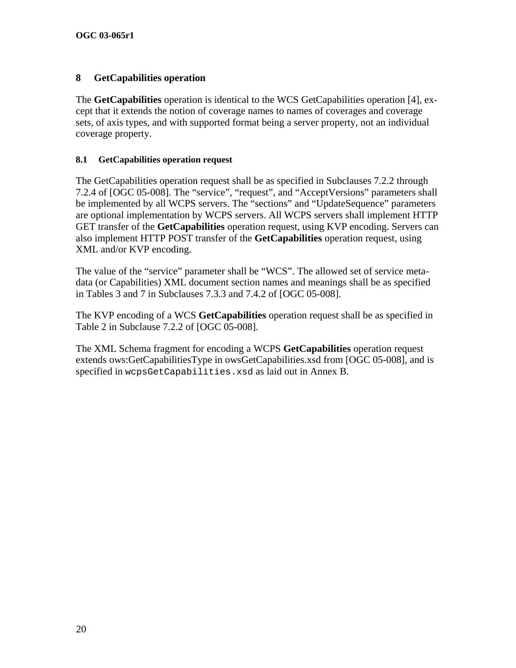## <span id="page-25-1"></span><span id="page-25-0"></span>**8 GetCapabilities operation**

The **GetCapabilities** operation is identical to the WCS GetCapabilities operation [4], except that it extends the notion of coverage names to names of coverages and coverage sets, of axis types, and with supported format being a server property, not an individual coverage property.

## **8.1 GetCapabilities operation request**

The GetCapabilities operation request shall be as specified in Subclauses 7.2.2 through 7.2.4 of [OGC 05-008]. The "service", "request", and "AcceptVersions" parameters shall be implemented by all WCPS servers. The "sections" and "UpdateSequence" parameters are optional implementation by WCPS servers. All WCPS servers shall implement HTTP GET transfer of the **GetCapabilities** operation request, using KVP encoding. Servers can also implement HTTP POST transfer of the **GetCapabilities** operation request, using XML and/or KVP encoding.

The value of the "service" parameter shall be "WCS". The allowed set of service metadata (or Capabilities) XML document section names and meanings shall be as specified in Tables 3 and 7 in Subclauses 7.3.3 and 7.4.2 of [OGC 05-008].

The KVP encoding of a WCS **GetCapabilities** operation request shall be as specified in Table 2 in Subclause 7.2.2 of [OGC 05-008].

The XML Schema fragment for encoding a WCPS **GetCapabilities** operation request extends ows:GetCapabilitiesType in owsGetCapabilities.xsd from [OGC 05-008], and is specified in wcpsGetCapabilities.xsd as laid out in Annex B.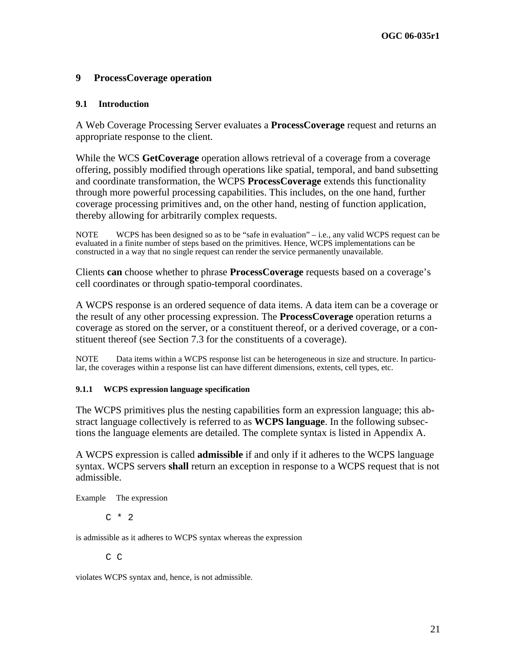### <span id="page-26-1"></span><span id="page-26-0"></span>**9 ProcessCoverage operation**

#### **9.1 Introduction**

A Web Coverage Processing Server evaluates a **ProcessCoverage** request and returns an appropriate response to the client.

While the WCS **GetCoverage** operation allows retrieval of a coverage from a coverage offering, possibly modified through operations like spatial, temporal, and band subsetting and coordinate transformation, the WCPS **ProcessCoverage** extends this functionality through more powerful processing capabilities. This includes, on the one hand, further coverage processing primitives and, on the other hand, nesting of function application, thereby allowing for arbitrarily complex requests.

NOTE WCPS has been designed so as to be "safe in evaluation" – i.e., any valid WCPS request can be evaluated in a finite number of steps based on the primitives. Hence, WCPS implementations can be constructed in a way that no single request can render the service permanently unavailable.

Clients **can** choose whether to phrase **ProcessCoverage** requests based on a coverage's cell coordinates or through spatio-temporal coordinates.

A WCPS response is an ordered sequence of data items. A data item can be a coverage or the result of any other processing expression. The **ProcessCoverage** operation returns a coverage as stored on the server, or a constituent thereof, or a derived coverage, or a constituent thereof (see Section [7.3](#page-20-1) for the constituents of a coverage).

NOTE Data items within a WCPS response list can be heterogeneous in size and structure. In particular, the coverages within a response list can have different dimensions, extents, cell types, etc.

#### **9.1.1 WCPS expression language specification**

The WCPS primitives plus the nesting capabilities form an expression language; this abstract language collectively is referred to as **WCPS language**. In the following subsections the language elements are detailed. The complete syntax is listed in Appendix A.

A WCPS expression is called **admissible** if and only if it adheres to the WCPS language syntax. WCPS servers **shall** return an exception in response to a WCPS request that is not admissible.

Example The expression

 $C * 2$ 

is admissible as it adheres to WCPS syntax whereas the expression

C C

violates WCPS syntax and, hence, is not admissible.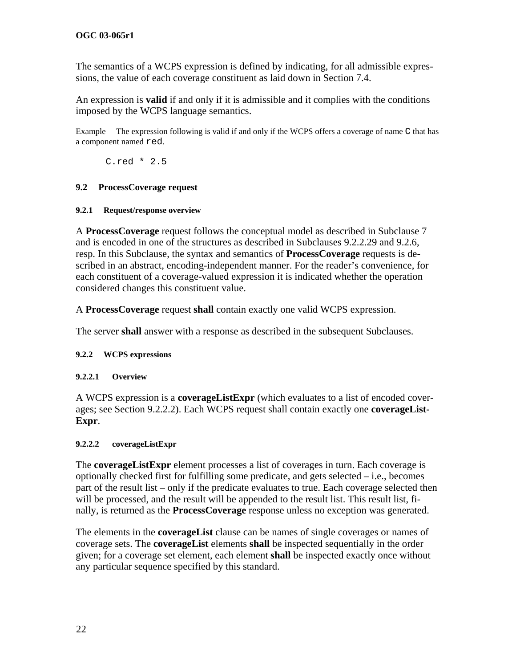<span id="page-27-0"></span>The semantics of a WCPS expression is defined by indicating, for all admissible expressions, the value of each coverage constituent as laid down in Section [7.4.](#page-24-2)

An expression is **valid** if and only if it is admissible and it complies with the conditions imposed by the WCPS language semantics.

Example The expression following is valid if and only if the WCPS offers a coverage of name C that has a component named red.

C.red \* 2.5

### **9.2 ProcessCoverage request**

#### **9.2.1 Request/response overview**

A **ProcessCoverage** request follows the conceptual model as described in Subclause [7](#page-17-1) and is encoded in one of the structures as described in Subclauses [9.2.2.29](#page-56-1) and [9.2.6,](#page-57-1) resp. In this Subclause, the syntax and semantics of **ProcessCoverage** requests is described in an abstract, encoding-independent manner. For the reader's convenience, for each constituent of a coverage-valued expression it is indicated whether the operation considered changes this constituent value.

<span id="page-27-3"></span>A **ProcessCoverage** request **shall** contain exactly one valid WCPS expression.

The server **shall** answer with a response as described in the subsequent Subclauses.

### <span id="page-27-1"></span>**9.2.2 WCPS expressions**

#### **9.2.2.1 Overview**

A WCPS expression is a **coverageListExpr** (which evaluates to a list of encoded coverages; see Section [9.2.2.2](#page-27-2)). Each WCPS request shall contain exactly one **coverageList-Expr**.

#### <span id="page-27-2"></span>**9.2.2.2 coverageListExpr**

The **coverageListExpr** element processes a list of coverages in turn. Each coverage is optionally checked first for fulfilling some predicate, and gets selected – i.e., becomes part of the result list – only if the predicate evaluates to true. Each coverage selected then will be processed, and the result will be appended to the result list. This result list, finally, is returned as the **ProcessCoverage** response unless no exception was generated.

The elements in the **coverageList** clause can be names of single coverages or names of coverage sets. The **coverageList** elements **shall** be inspected sequentially in the order given; for a coverage set element, each element **shall** be inspected exactly once without any particular sequence specified by this standard.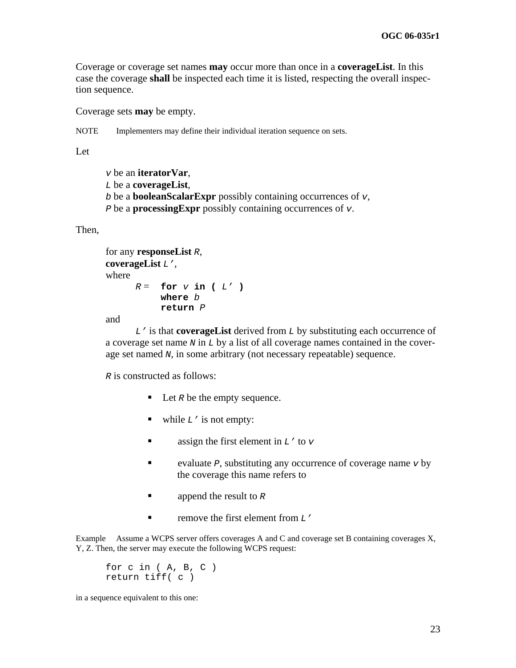Coverage or coverage set names **may** occur more than once in a **coverageList**. In this case the coverage **shall** be inspected each time it is listed, respecting the overall inspection sequence.

Coverage sets **may** be empty.

NOTE Implementers may define their individual iteration sequence on sets.

Let

*v* be an **iteratorVar**, *L* be a **coverageList**, *b* be a **booleanScalarExpr** possibly containing occurrences of *v*, *P* be a **processingExpr** possibly containing occurrences of *v*.

Then,

```
for any responseList R, 
coverageList L', 
where 
      R = for V in ( L' )
             where b
             return P
```
and

 *L'* is that **coverageList** derived from *L* by substituting each occurrence of a coverage set name *N* in *L* by a list of all coverage names contained in the coverage set named *N*, in some arbitrary (not necessary repeatable) sequence.

*R* is constructed as follows:

- Let *R* be the empty sequence.
- while  $L'$  is not empty:
- assign the first element in  $L'$  to  $v$
- evaluate *P*, substituting any occurrence of coverage name *v* by the coverage this name refers to
- **append the result to** *R*
- **remove the first element from L'**

Example Assume a WCPS server offers coverages A and C and coverage set B containing coverages X, Y, Z. Then, the server may execute the following WCPS request:

for  $c$  in  $(A, B, C)$ return tiff( c )

in a sequence equivalent to this one: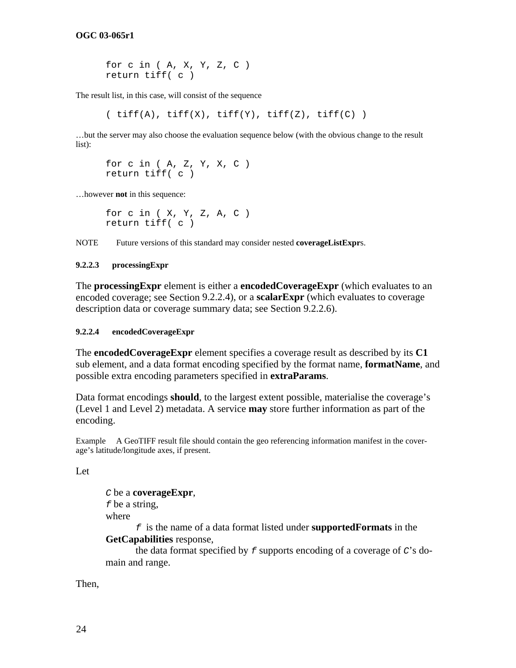for c in ( A, X, Y, Z, C ) return tiff( c )

The result list, in this case, will consist of the sequence

 $(\text{tff(A)}, \text{tff(X)}, \text{tff(Y)}, \text{tff(Z)}, \text{tff(C)})$ 

…but the server may also choose the evaluation sequence below (with the obvious change to the result list):

for c in  $(A, Z, Y, X, C)$ return tiff( c )

…however **not** in this sequence:

for c in ( X, Y, Z, A, C ) return tiff( c )

NOTE Future versions of this standard may consider nested **coverageListExpr**s.

#### **9.2.2.3 processingExpr**

The **processingExpr** element is either a **encodedCoverageExpr** (which evaluates to an encoded coverage; see Section [9.2.2.4](#page-29-0)), or a **scalarExpr** (which evaluates to coverage description data or coverage summary data; see Section [9.2.2.6](#page-30-0)).

#### <span id="page-29-0"></span>**9.2.2.4 encodedCoverageExpr**

The **encodedCoverageExpr** element specifies a coverage result as described by its **C1** sub element, and a data format encoding specified by the format name, **formatName**, and possible extra encoding parameters specified in **extraParams**.

Data format encodings **should**, to the largest extent possible, materialise the coverage's (Level 1 and Level 2) metadata. A service **may** store further information as part of the encoding.

Example A GeoTIFF result file should contain the geo referencing information manifest in the coverage's latitude/longitude axes, if present.

Let

*C* be a **coverageExpr**, *f* be a string, where *f* is the name of a data format listed under **supportedFormats** in the

**GetCapabilities** response, the data format specified by *f* supports encoding of a coverage of *C*'s domain and range.

Then,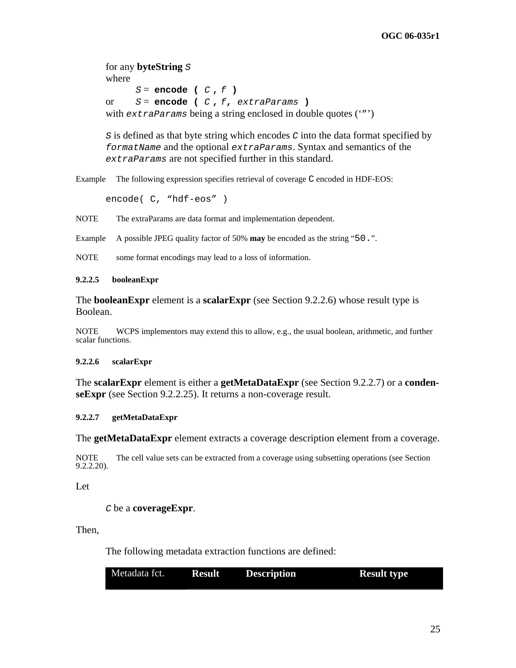for any **byteString** *S* where *S* = **encode (** *C* **,** *f* **)**  or *S* = **encode (** *C* **,** *f***,** *extraParams* **)**  with *extraParams* being a string enclosed in double quotes ('"')

*S* is defined as that byte string which encodes *C* into the data format specified by *formatName* and the optional *extraParams*. Syntax and semantics of the *extraParams* are not specified further in this standard.

Example The following expression specifies retrieval of coverage C encoded in HDF-EOS:

encode( C, "hdf-eos" )

NOTE The extraParams are data format and implementation dependent.

Example A possible JPEG quality factor of 50% **may** be encoded as the string "50.".

NOTE some format encodings may lead to a loss of information.

#### **9.2.2.5 booleanExpr**

The **booleanExpr** element is a **scalarExpr** (see Section [9.2.2.6](#page-30-0)) whose result type is Boolean.

NOTE WCPS implementors may extend this to allow, e.g., the usual boolean, arithmetic, and further scalar functions.

#### <span id="page-30-0"></span>**9.2.2.6 scalarExpr**

The **scalarExpr** element is either a **getMetaDataExpr** (see Section [9.2.2.7](#page-30-1)) or a **condenseExpr** (see Section [9.2.2.25](#page-50-0)). It returns a non-coverage result.

#### <span id="page-30-1"></span>**9.2.2.7 getMetaDataExpr**

The **getMetaDataExpr** element extracts a coverage description element from a coverage.

NOTE The cell value sets can be extracted from a coverage using subsetting operations (see Section [9.2.2.20\)](#page-43-0).

#### Let

*C* be a **coverageExpr**.

Then,

The following metadata extraction functions are defined:

| Metadata fct. | <b>Result</b> | <b>Description</b> | <b>Result type</b> |
|---------------|---------------|--------------------|--------------------|
|               |               |                    |                    |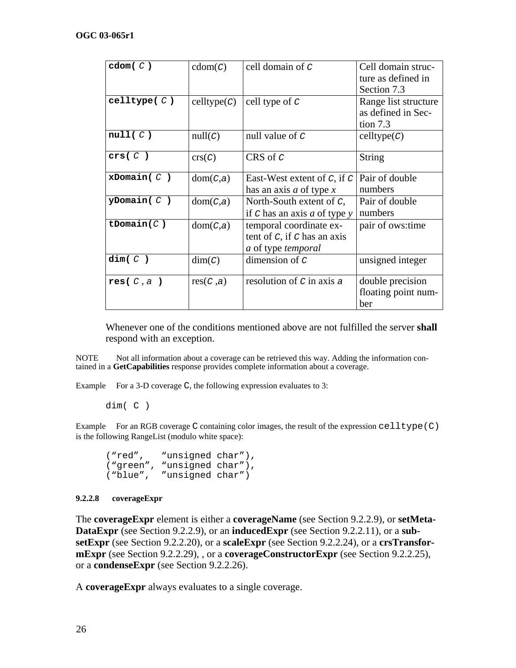| $\texttt{cdom}(C)$ | $\text{cdom}(c)$     | cell domain of C                 | Cell domain struc-   |
|--------------------|----------------------|----------------------------------|----------------------|
|                    |                      |                                  | ture as defined in   |
|                    |                      |                                  | Section 7.3          |
| celltype( $C$ )    | $\text{celltype}(c)$ | cell type of $C$                 | Range list structure |
|                    |                      |                                  | as defined in Sec-   |
|                    |                      |                                  | tion $7.3$           |
| null(C)            | null(C)              | null value of $C$                | celltype(C)          |
| crs( C )           | crs(C)               | CRS of $C$                       | <b>String</b>        |
|                    |                      |                                  |                      |
| $x$ Domain( $C$ )  | dom(C,a)             | East-West extent of $C$ , if $C$ | Pair of double       |
|                    |                      | has an axis <i>a</i> of type $x$ | numbers              |
| $y$ Domain $(C)$   | dom(C,a)             | North-South extent of $C$ ,      | Pair of double       |
|                    |                      | if $C$ has an axis a of type $y$ | numbers              |
| tDomain $(C)$      | dom(C,a)             | temporal coordinate ex-          | pair of ows:time     |
|                    |                      | tent of $C$ , if $C$ has an axis |                      |
|                    |                      | a of type temporal               |                      |
| dim(C)             | dim(C)               | dimension of $C$                 | unsigned integer     |
|                    |                      |                                  |                      |
| res( $C$ , a)      | res(C, a)            | resolution of $C$ in axis $a$    | double precision     |
|                    |                      |                                  | floating point num-  |
|                    |                      |                                  | ber                  |

Whenever one of the conditions mentioned above are not fulfilled the server **shall**  respond with an exception.

NOTE Not all information about a coverage can be retrieved this way. Adding the information contained in a **GetCapabilities** response provides complete information about a coverage.

Example For a 3-D coverage C, the following expression evaluates to 3:

dim( C )

Example For an RGB coverage C containing color images, the result of the expression  $\text{celltype}(C)$ is the following RangeList (modulo white space):

("red", "unsigned char"), ("green", "unsigned char"), ("blue", "unsigned char")

#### **9.2.2.8 coverageExpr**

The **coverageExpr** element is either a **coverageName** (see Section [9.2.2.9\)](#page-32-1), or **setMeta-DataExpr** (see Section [9.2.2.9](#page-32-1)), or an **inducedExpr** (see Section [9.2.2.11\)](#page-34-0), or a **subsetExpr** (see Section [9.2.2.20](#page-43-0)), or a **scaleExpr** (see Section [9.2.2.24\)](#page-46-0), or a **crsTransformExpr** (see Section [9.2.2.29](#page-51-0)), , or a **coverageConstructorExpr** (see Section [9.2.2.25](#page-47-0)), or a **condenseExpr** (see Section [9.2.2.26](#page-49-0)).

A **coverageExpr** always evaluates to a single coverage.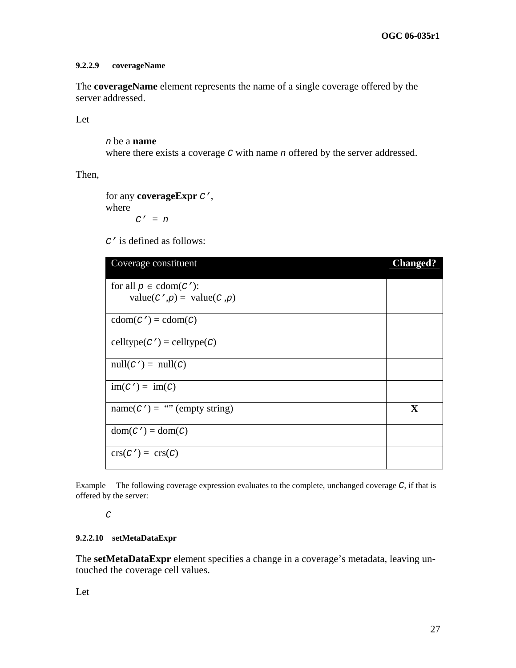#### <span id="page-32-1"></span>**9.2.2.9 coverageName**

The **coverageName** element represents the name of a single coverage offered by the server addressed.

Let

*n* be a **name** where there exists a coverage *C* with name *n* offered by the server addressed.

Then,

for any **coverageExpr** *C'*, where *C'* = *n*

*C'* is defined as follows:

| Coverage constituent                                                    | <b>Changed?</b> |
|-------------------------------------------------------------------------|-----------------|
| for all $p \in \text{cdom}(C')$ :<br>value( $C', p$ ) = value( $C, p$ ) |                 |
|                                                                         |                 |
| $\text{cdom}(C') = \text{cdom}(C)$                                      |                 |
| $\text{celltype}(C') = \text{celltype}(C)$                              |                 |
| $null(C') = null(C)$                                                    |                 |
| $\text{im}(C') = \text{im}(C)$                                          |                 |
| $name(C') = \cdots$ (empty string)                                      | X               |
| $dom(C') = dom(C)$                                                      |                 |
| $\operatorname{crs}(C') = \operatorname{crs}(C)$                        |                 |

Example The following coverage expression evaluates to the complete, unchanged coverage *C*, if that is offered by the server:

#### *C*

### <span id="page-32-0"></span>**9.2.2.10 setMetaDataExpr**

The **setMetaDataExpr** element specifies a change in a coverage's metadata, leaving untouched the coverage cell values.

Let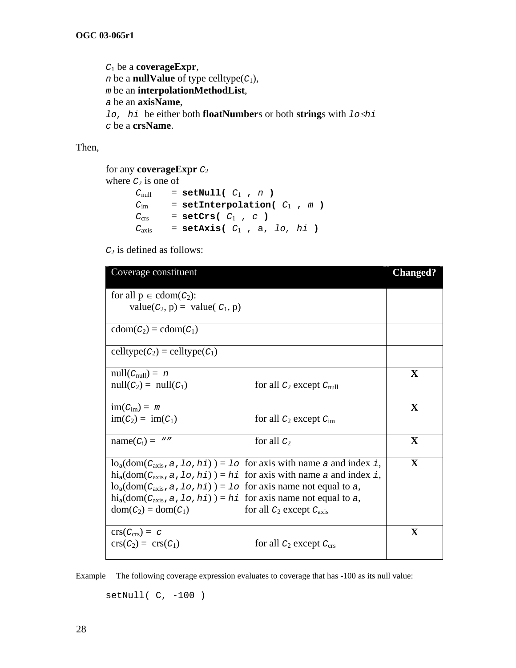*C*1 be a **coverageExpr**, *n* be a **nullValue** of type celltype( $C_1$ ), *m* be an **interpolationMethodList**, *a* be an **axisName**, *lo, hi* be either both **floatNumber**s or both **string**s with *lo*≤*hi c* be a **crsName**.

Then,

```
for any coverageExpr C2 
where C_2 is one of
      C_{null} = setNull( C_1, n )
      C_{\text{im}} = setInterpolation( C_1, m )
      C_{\text{crs}} = setCrs( C_1, C)
      C_{axis} = setAxis( C_1, a, lo, hi)
```
*C*2 is defined as follows:

| Coverage constituent                                                                                              | <b>Changed?</b> |
|-------------------------------------------------------------------------------------------------------------------|-----------------|
| for all $p \in \text{cdom}(C_2)$ :                                                                                |                 |
| value( $C_2$ , p) = value( $C_1$ , p)                                                                             |                 |
| $\text{cdom}(C_2) = \text{cdom}(C_1)$                                                                             |                 |
| celltype $(C_2)$ = celltype $(C_1)$                                                                               |                 |
| $null(C_{null}) = n$                                                                                              | $\mathbf X$     |
| $null(C_2) = null(C_1)$<br>for all $C_2$ except $C_{null}$                                                        |                 |
| $\text{im}(C_{\text{im}}) = m$                                                                                    | $\mathbf X$     |
| $\text{im}(C_2) = \text{im}(C_1)$<br>for all $C_2$ except $C_{\text{im}}$                                         |                 |
| $name(C_i) = "$<br>for all $C_2$                                                                                  | $\mathbf{X}$    |
| $\log_{a}(\text{dom}(C_{axis}, a, 10, \text{hi})) = 10$ for axis with name a and index i,                         | $\mathbf{X}$    |
| $\text{hi}_a(\text{dom}(C_{\text{axis}}, a, \text{lo}, \text{hi})) = \text{hi}$ for axis with name a and index i, |                 |
| $\log_{a}(\text{dom}(C_{axis}, a, 10, \text{hi})) = 10$ for axis name not equal to a,                             |                 |
| $\text{hi}_a(\text{dom}(C_{axis}, a, 1\circ, h\texttt{i})) = h\texttt{i}$ for axis name not equal to a,           |                 |
| $dom(C_2) = dom(C_1)$<br>for all $C_2$ except $C_{axis}$                                                          |                 |
| $crs(C_{crs}) = c$                                                                                                | $\mathbf X$     |
| $\text{crs}(C_2) = \text{crs}(C_1)$<br>for all $C_2$ except $C_{\text{crs}}$                                      |                 |

Example The following coverage expression evaluates to coverage that has -100 as its null value:

setNull( C, -100 )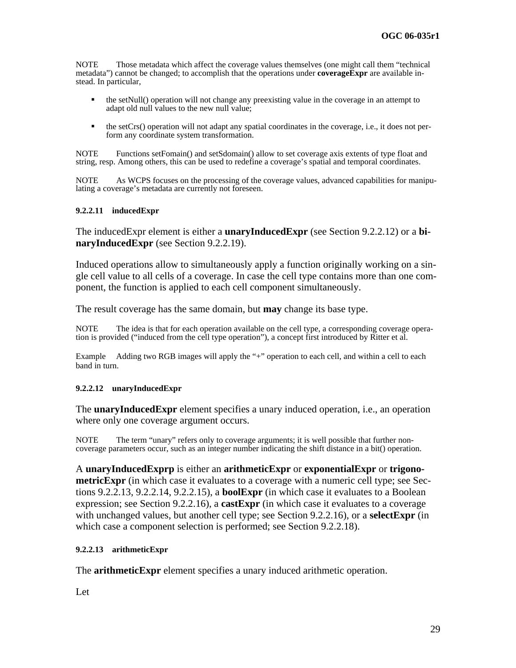NOTE Those metadata which affect the coverage values themselves (one might call them "technical metadata") cannot be changed; to accomplish that the operations under **coverageExpr** are available instead. In particular,

- $\blacksquare$  the setNull() operation will not change any preexisting value in the coverage in an attempt to adapt old null values to the new null value;
- $\blacksquare$  the setCrs() operation will not adapt any spatial coordinates in the coverage, i.e., it does not perform any coordinate system transformation.

NOTE Functions setFomain() and setSdomain() allow to set coverage axis extents of type float and string, resp. Among others, this can be used to redefine a coverage's spatial and temporal coordinates.

NOTE As WCPS focuses on the processing of the coverage values, advanced capabilities for manipulating a coverage's metadata are currently not foreseen.

#### <span id="page-34-0"></span>**9.2.2.11 inducedExpr**

The inducedExpr element is either a **unaryInducedExpr** (see Section [9.2.2.12\)](#page-34-1) or a **binaryInducedExpr** (see Section [9.2.2.19](#page-41-0)).

Induced operations allow to simultaneously apply a function originally working on a single cell value to all cells of a coverage. In case the cell type contains more than one component, the function is applied to each cell component simultaneously.

The result coverage has the same domain, but **may** change its base type.

NOTE The idea is that for each operation available on the cell type, a corresponding coverage operation is provided ("induced from the cell type operation"), a concept first introduced by Ritter et al.

<span id="page-34-3"></span>Example Adding two RGB images will apply the "+" operation to each cell, and within a cell to each band in turn.

#### <span id="page-34-1"></span>**9.2.2.12 unaryInducedExpr**

The **unaryInducedExpr** element specifies a unary induced operation, i.e., an operation where only one coverage argument occurs.

NOTE The term "unary" refers only to coverage arguments; it is well possible that further noncoverage parameters occur, such as an integer number indicating the shift distance in a bit() operation.

A **unaryInducedExprp** is either an **arithmeticExpr** or **exponentialExpr** or **trigonometricExpr** (in which case it evaluates to a coverage with a numeric cell type; see Sections [9.2.2.13](#page-34-2), [9.2.2.14](#page-35-0), [9.2.2.15](#page-37-0)), a **boolExpr** (in which case it evaluates to a Boolean expression; see Section [9.2.2.16](#page-38-0)), a **castExpr** (in which case it evaluates to a coverage with unchanged values, but another cell type; see Section [9.2.2.16](#page-39-0)), or a **selectExpr** (in which case a component selection is performed; see Section [9.2.2.18](#page-40-0)).

#### <span id="page-34-2"></span>**9.2.2.13 arithmeticExpr**

The **arithmeticExpr** element specifies a unary induced arithmetic operation.

Let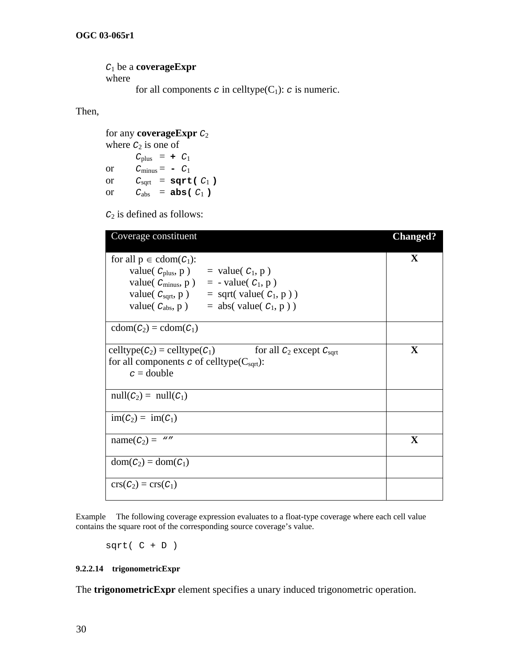*C*1 be a **coverageExpr** where

for all components  $c$  in celltype( $C_1$ ):  $c$  is numeric.

Then,

for any **coverageExpr** *C*2 where  $C_2$  is one of  $C_{\text{plus}} = + C_1$ or  $C_{\text{minus}} = -C_1$ or  $C_{\text{sqrt}} = \text{sqrt}( C_1 )$ or  $C_{\text{abs}} = \text{abs}(C_1)$ 

*C*2 is defined as follows:

| Coverage constituent                                                                    | <b>Changed?</b> |
|-----------------------------------------------------------------------------------------|-----------------|
| for all $p \in \text{cdom}(C_1)$ :                                                      | $\mathbf X$     |
| value( $C_{\text{plus}}$ , p) = value( $C_1$ , p)                                       |                 |
| value( $C_{\text{minus}}$ , p) = - value( $C_1$ , p)                                    |                 |
| value( $C_{\text{sqrt}}, p$ ) = sqrt(value( $C_1, p$ ))                                 |                 |
| value( $C_{\text{abs}}$ , p)<br>$=$ abs( value( $C_1$ , p ))                            |                 |
| $\text{cdom}(C_2) = \text{cdom}(C_1)$                                                   |                 |
| $\text{celltype}(C_2) = \text{celltype}(C_1)$<br>for all $C_2$ except $C_{\text{sqrt}}$ | $\mathbf X$     |
| for all components $\sigma$ of celltype( $C_{\text{sqrt}}$ ):                           |                 |
| $c =$ double                                                                            |                 |
| $null(C_2) = null(C_1)$                                                                 |                 |
| $\text{im}(C_2) = \text{im}(C_1)$                                                       |                 |
| $name(C_2) = "$                                                                         | $\mathbf X$     |
| $dom(C_2) = dom(C_1)$                                                                   |                 |
| $\operatorname{crs}(C_2) = \operatorname{crs}(C_1)$                                     |                 |

Example The following coverage expression evaluates to a float-type coverage where each cell value contains the square root of the corresponding source coverage's value.

 $sqrt(C + D)$ 

#### <span id="page-35-0"></span>**9.2.2.14 trigonometricExpr**

The **trigonometricExpr** element specifies a unary induced trigonometric operation.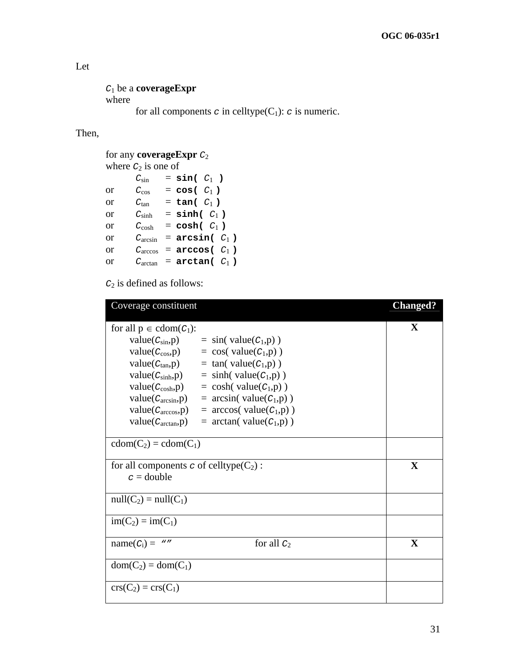## Let

```
C1 be a coverageExpr
where 
       for all components c in celltype(C_1): c is numeric.
```
Then,

```
for any coverageExpr C2 
where C_2 is one of
        C_{\sin} = \sin(C_1)or C_{\text{cos}} = \cos(C_1)or C_{tan} = \tan(C_1)or C_{\text{sinh}} = \text{sinh} (C_1)or C_{\cosh} = \cosh(C_1)or C_{\text{arcsin}} = \arcsin(C_1)or C_{\text{arccos}} = \text{arccos}(\begin{array}{c} C_1 \end{array})or C_{\text{arctan}} = \text{arctan}(|C_1|)
```

| Coverage constituent                                                                                                                                                                                                                                           |                                                                                                                                                                                                                                                               | <b>Changed?</b> |
|----------------------------------------------------------------------------------------------------------------------------------------------------------------------------------------------------------------------------------------------------------------|---------------------------------------------------------------------------------------------------------------------------------------------------------------------------------------------------------------------------------------------------------------|-----------------|
| for all $p \in \text{cdom}(C_1)$ :<br>$value(C_{sin}, p)$<br>$value(C_{\cos}, p)$<br>$value(C_{tan}, p)$<br>value(C <sub>sinh</sub> , p)<br>$value(C_{cosh}, p)$<br>$value(C_{\text{arcsin}}, p)$<br>$value(C_{\arccos}, p)$<br>value( $C_{\text{arctan}}$ ,p) | $=$ sin( value( $C_1$ ,p))<br>$=$ cos( value( $C_1$ ,p))<br>$=$ tan( value( $C_1$ ,p))<br>$=$ sinh(value( $C_1$ ,p))<br>$=$ cosh( value( $C_1$ ,p))<br>$= \arcsin(\text{value}(C_1,p))$<br>$= \arccos(\text{value}(C_1, p))$<br>$=$ arctan( value( $C_1$ ,p)) | $\mathbf X$     |
| $cdom(C_2) = cdom(C_1)$                                                                                                                                                                                                                                        |                                                                                                                                                                                                                                                               |                 |
| for all components c of celltype $(C_2)$ :<br>$c =$ double                                                                                                                                                                                                     |                                                                                                                                                                                                                                                               | X               |
| $null(C_2) = null(C_1)$                                                                                                                                                                                                                                        |                                                                                                                                                                                                                                                               |                 |
| $im(C_2) = im(C_1)$                                                                                                                                                                                                                                            |                                                                                                                                                                                                                                                               |                 |
| $name(C_i) = "$                                                                                                                                                                                                                                                | for all $C_2$                                                                                                                                                                                                                                                 | $\mathbf X$     |
| $dom(C_2) = dom(C_1)$                                                                                                                                                                                                                                          |                                                                                                                                                                                                                                                               |                 |
| $\text{crs}(C_2) = \text{crs}(C_1)$                                                                                                                                                                                                                            |                                                                                                                                                                                                                                                               |                 |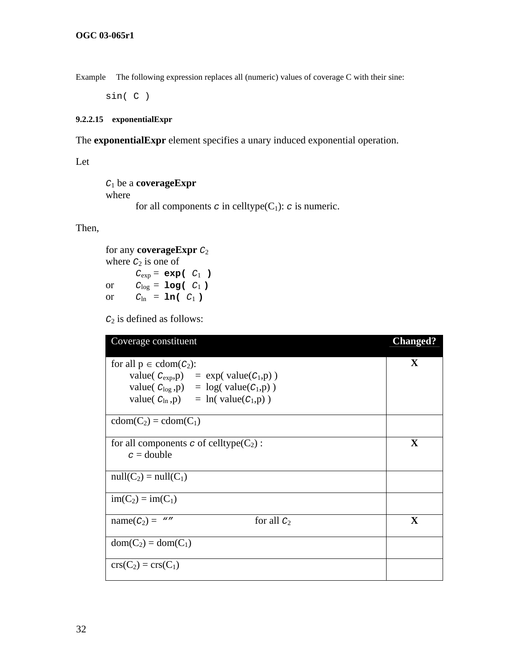Example The following expression replaces all (numeric) values of coverage C with their sine:

sin( C )

#### <span id="page-37-0"></span>**9.2.2.15 exponentialExpr**

The **exponentialExpr** element specifies a unary induced exponential operation.

Let

```
C1 be a coverageExpr
where 
       for all components c in celltype(C_1): c is numeric.
```
Then,

for any **coverageExpr** *C*2 where  $C_2$  is one of  $C_{exp} = exp(-C_1)$ or  $C_{\text{log}} = \text{log}(-C_1)$ or  $C_{\ln} = \ln(C_1)$ 

| Coverage constituent                                       | <b>Changed?</b> |
|------------------------------------------------------------|-----------------|
| for all $p \in \text{cdom}(C_2)$ :                         | $\mathbf{X}$    |
| value( $C_{\exp}$ ,p) = exp(value( $C_1$ ,p))              |                 |
| value( $C_{\text{log}}$ ,p) = $\log(\text{value}(C_1, p))$ |                 |
| value( $C_{\ln}$ ,p) = $\ln(\text{value}(C_1,p))$          |                 |
| $cdom(C_2) = cdom(C_1)$                                    |                 |
| for all components c of celltype $(C_2)$ :                 | $\mathbf X$     |
| $c =$ double                                               |                 |
| $null(C_2) = null(C_1)$                                    |                 |
| $im(C_2) = im(C_1)$                                        |                 |
| $name(C_2) = "$<br>for all $C_2$                           | $\mathbf X$     |
| $dom(C_2) = dom(C_1)$                                      |                 |
| $\text{crs}(C_2) = \text{crs}(C_1)$                        |                 |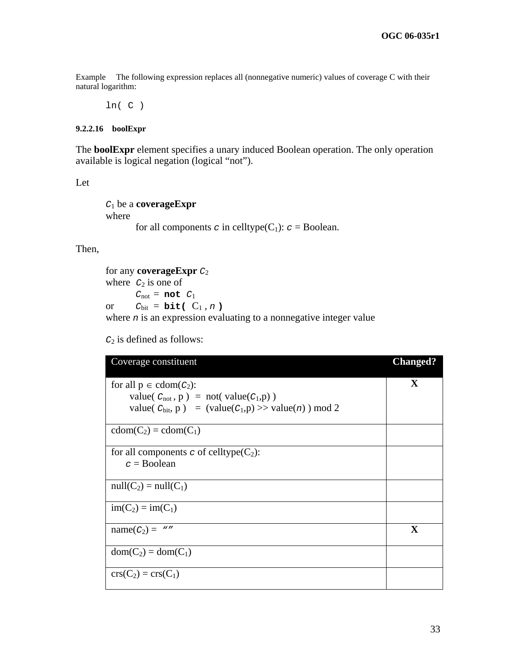Example The following expression replaces all (nonnegative numeric) values of coverage C with their natural logarithm:

 $ln(C)$ 

#### <span id="page-38-0"></span>**9.2.2.16 boolExpr**

The **boolExpr** element specifies a unary induced Boolean operation. The only operation available is logical negation (logical "not").

Let

```
C1 be a coverageExpr
where 
       for all components c in celltype(C_1): c = Boolean.
```
Then,

```
for any coverageExpr C2 
where C_2 is one of
        C_{\text{not}} = \text{not } C_1or C_{\text{bit}} = \text{bit} (C_1, n)where n is an expression evaluating to a nonnegative integer value
```

| Coverage constituent                                                 | <b>Changed?</b> |
|----------------------------------------------------------------------|-----------------|
| for all $p \in \text{cdom}(C_2)$ :                                   | X               |
| value( $C_{\text{not}}$ , p) = not(value( $C_1$ , p))                |                 |
| value( $C_{\text{bit}}$ , p) = (value( $C_1$ , p) >> value(n)) mod 2 |                 |
| $cdom(C_2) = cdom(C_1)$                                              |                 |
| for all components c of celltype( $C_2$ ):                           |                 |
| $c =$ Boolean                                                        |                 |
| $null(C_2) = null(C_1)$                                              |                 |
| $im(C_2) = im(C_1)$                                                  |                 |
| $name(C_2) = "$                                                      | $\mathbf X$     |
| $dom(C_2) = dom(C_1)$                                                |                 |
| $\text{crs}(C_2) = \text{crs}(C_1)$                                  |                 |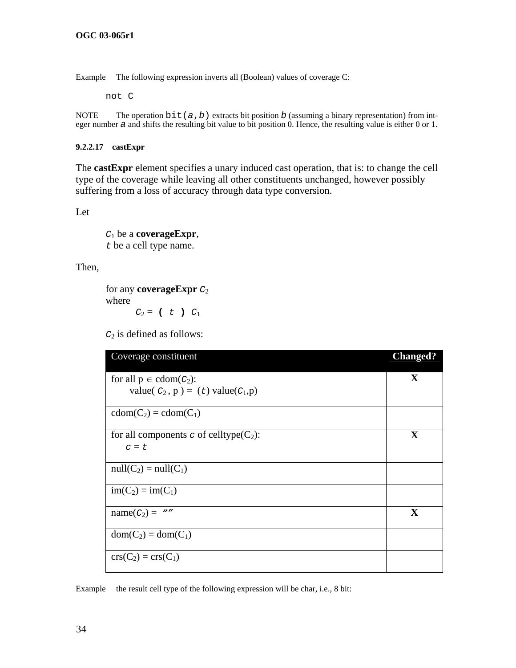Example The following expression inverts all (Boolean) values of coverage C:

not C

<span id="page-39-0"></span>NOTE The operation  $\text{bit}(a, b)$  extracts bit position *b* (assuming a binary representation) from integer number *a* and shifts the resulting bit value to bit position 0. Hence, the resulting value is either 0 or 1.

#### **9.2.2.17 castExpr**

The **castExpr** element specifies a unary induced cast operation, that is: to change the cell type of the coverage while leaving all other constituents unchanged, however possibly suffering from a loss of accuracy through data type conversion.

Let

*C*1 be a **coverageExpr**, *t* be a cell type name.

Then,

for any **coverageExpr** *C*2 where  $C_2 = (t \ t \ ) \ C_1$ 

*C*2 is defined as follows:

| Coverage constituent                                                            | <b>Changed?</b> |
|---------------------------------------------------------------------------------|-----------------|
| for all $p \in \text{cdom}(C_2)$ :<br>value( $C_2$ , p) = (t) value( $C_1$ , p) | X               |
| $cdom(C_2) = cdom(C_1)$                                                         |                 |
| for all components c of celltype( $C_2$ ):<br>$c = t$                           | $\mathbf X$     |
| $null(C_2) = null(C_1)$                                                         |                 |
| $im(C_2) = im(C_1)$                                                             |                 |
| $name(C_2) = "$                                                                 | $\mathbf X$     |
| $dom(C_2) = dom(C_1)$                                                           |                 |
| $\text{crs}(C_2) = \text{crs}(C_1)$                                             |                 |

Example the result cell type of the following expression will be char, i.e., 8 bit: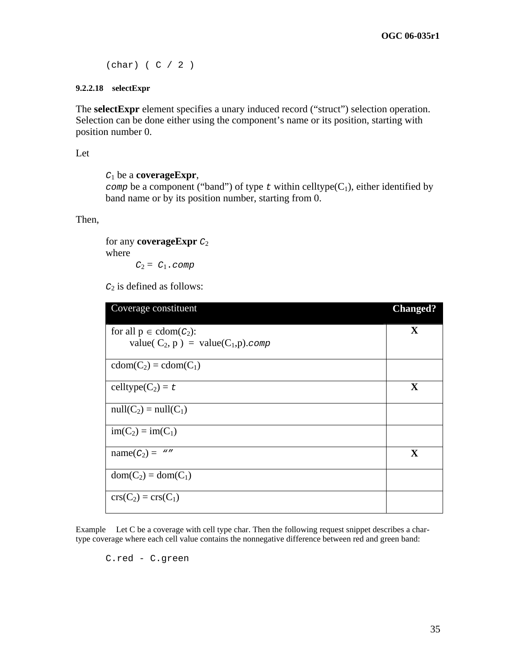(char) ( C / 2 )

#### <span id="page-40-0"></span>**9.2.2.18 selectExpr**

The **selectExpr** element specifies a unary induced record ("struct") selection operation. Selection can be done either using the component's name or its position, starting with position number 0.

Let

```
C1 be a coverageExpr,
```
*comp* be a component ("band") of type  $t$  within celltype( $C_1$ ), either identified by band name or by its position number, starting from 0.

Then,

for any **coverageExpr** *C*2 where  $C_2 = C_1$ .*comp* 

*C*2 is defined as follows:

| Coverage constituent                        | <b>Changed?</b> |
|---------------------------------------------|-----------------|
| for all $p \in \text{cdom}(C_2)$ :          | X               |
| value( $C_2$ , p) = value( $C_1$ , p). comp |                 |
| $cdom(C_2) = cdom(C_1)$                     |                 |
| celltype( $C_2$ ) = t                       | X               |
| $null(C_2) = null(C_1)$                     |                 |
| $im(C_2) = im(C_1)$                         |                 |
| $name(C_2) = "$                             | $\mathbf X$     |
| $dom(C_2) = dom(C_1)$                       |                 |
| $\text{crs}(C_2) = \text{crs}(C_1)$         |                 |

Example Let C be a coverage with cell type char. Then the following request snippet describes a chartype coverage where each cell value contains the nonnegative difference between red and green band:

C.red - C.green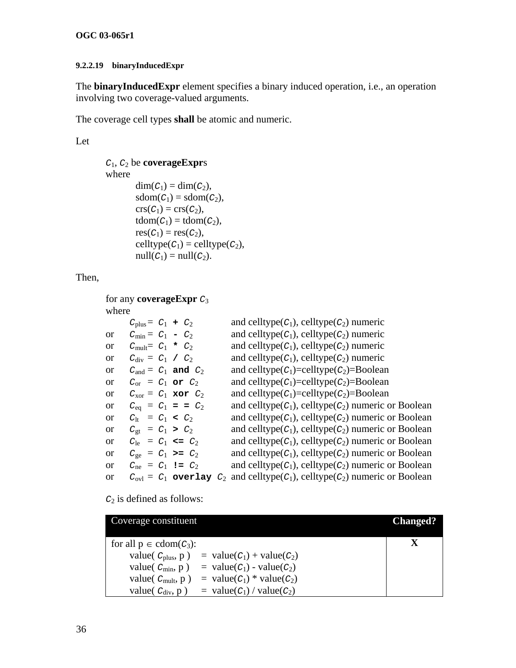## <span id="page-41-0"></span>**9.2.2.19 binaryInducedExpr**

The **binaryInducedExpr** element specifies a binary induced operation, i.e., an operation involving two coverage-valued arguments.

The coverage cell types **shall** be atomic and numeric.

Let

```
C1, C2 be coverageExprs 
where 
        dim(C_1) = dim(C_2),sdom(C_1) = sdom(C_2),\operatorname{crs}(C_1) = \operatorname{crs}(C_2),tdom(C_1) = tdom(C_2),res(C_1) = res(C_2),
        celltype(C_1) = celltype(C_2),
         null(C_1) = null(C_2).
```
Then,

|       | for any <b>coverage Expr</b> $C_3$ |                                                                                                  |
|-------|------------------------------------|--------------------------------------------------------------------------------------------------|
| where |                                    |                                                                                                  |
|       | $C_{\text{plus}} = C_1 + C_2$      | and celltype( $C_1$ ), celltype( $C_2$ ) numeric                                                 |
| or    | $C_{\text{min}} = C_1 - C_2$       | and celltype( $C_1$ ), celltype( $C_2$ ) numeric                                                 |
| or    | $C_{\text{mult}} = C_1$ * $C_2$    | and celltype( $C_1$ ), celltype( $C_2$ ) numeric                                                 |
| or    | $C_{\text{div}} = C_1 / C_2$       | and celltype( $C_1$ ), celltype( $C_2$ ) numeric                                                 |
| or    | $C_{\text{and}} = C_1$ and $C_2$   | and celltype $(C_1)$ =celltype $(C_2)$ =Boolean                                                  |
| or    | $C_{\text{or}} = C_1$ or $C_2$     | and celltype $(C_1)$ =celltype $(C_2)$ =Boolean                                                  |
| or    | $C_{\text{xor}} = C_1$ xor $C_2$   | and celltype( $C_1$ )=celltype( $C_2$ )=Boolean                                                  |
| or    | $C_{\text{eq}} = C_1 = C_2$        | and celltype $(C_1)$ , celltype $(C_2)$ numeric or Boolean                                       |
| or    | $C_{1t} = C_1 < C_2$               | and celltype $(C_1)$ , celltype $(C_2)$ numeric or Boolean                                       |
| or    | $C_{gt} = C_1 > C_2$               | and celltype( $C_1$ ), celltype( $C_2$ ) numeric or Boolean                                      |
| or    | $C_{1e} = C_1 \leq C_2$            | and celltype $(C_1)$ , celltype $(C_2)$ numeric or Boolean                                       |
| or    | $C_{\text{ge}} = C_1 \ge C_2$      | and celltype( $C_1$ ), celltype( $C_2$ ) numeric or Boolean                                      |
| or    | $C_{\text{ne}} = C_1$ != $C_2$     | and celltype( $C_1$ ), celltype( $C_2$ ) numeric or Boolean                                      |
| or    |                                    | $C_{\text{ovl}} = C_1$ overlay $C_2$ and celltype( $C_1$ ), celltype( $C_2$ ) numeric or Boolean |
|       |                                    |                                                                                                  |

| Coverage constituent               |                                     | <b>Changed?</b> |
|------------------------------------|-------------------------------------|-----------------|
| for all $p \in \text{cdom}(C_3)$ : |                                     |                 |
| value( $C_{\text{plus}}$ , p)      | $=$ value( $C_1$ ) + value( $C_2$ ) |                 |
| value( $C_{\text{min}}$ , p)       | = value( $C_1$ ) - value( $C_2$ )   |                 |
| value( $C_{\text{mult}}$ , p)      | = value( $C_1$ ) * value( $C_2$ )   |                 |
| value( $C_{\text{div}}$ , p)       | $=$ value( $C_1$ ) / value( $C_2$ ) |                 |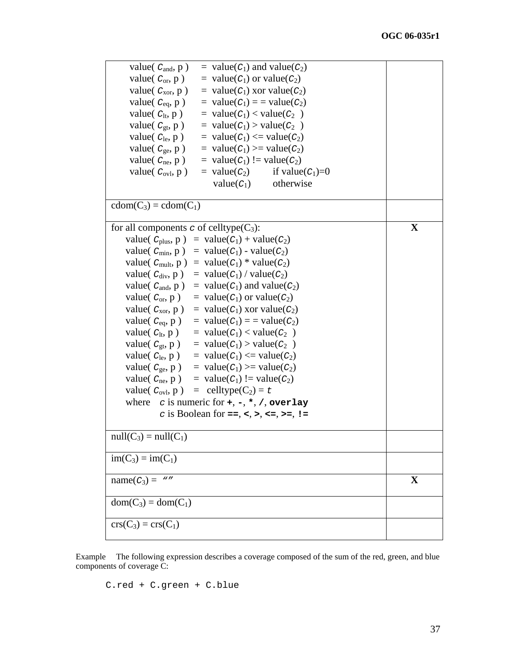| = value( $C_1$ ) and value( $C_2$ )<br>value( $C_{\text{and}}$ , p)      |   |
|--------------------------------------------------------------------------|---|
| value( $C_{or}$ , p)<br>= value( $C_1$ ) or value( $C_2$ )               |   |
| = value( $C_1$ ) xor value( $C_2$ )<br>value( $C_{\text{xor}}$ , p)      |   |
| value( $C_{eq}$ , p)<br>$=$ value( $C_1$ ) = = value( $C_2$ )            |   |
| value( $C_{lt}$ , p)<br>$=$ value( $C_1$ ) < value( $C_2$ )              |   |
| $=$ value( $C_1$ ) > value( $C_2$ )<br>value( $C_{gt}$ , p)              |   |
| $=$ value( $C_1$ ) $\le$ value( $C_2$ )<br>value( $C_{\text{le}}$ , p)   |   |
| value( $C_{ge}$ , p)<br>$=$ value( $C_1$ ) > value( $C_2$ )              |   |
| value( $C_{\text{ne}}$ , p)<br>= value( $C_1$ ) != value( $C_2$ )        |   |
| value( $C_{\text{ovl}}$ , p)<br>$=$ value( $C_2$ )<br>if value $(C_1)=0$ |   |
| $value(C_1)$<br>otherwise                                                |   |
|                                                                          |   |
| $cdom(C_3) = cdom(C_1)$                                                  |   |
|                                                                          |   |
| for all components $\sigma$ of celltype( $C_3$ ):                        | X |
| value( $C_{\text{plus}}$ , p) = value( $C_1$ ) + value( $C_2$ )          |   |
| value( $C_{\text{min}}$ , p) = value( $C_1$ ) - value( $C_2$ )           |   |
| value( $C_{\text{mult}}$ , p) = value( $C_1$ ) * value( $C_2$ )          |   |
| $=$ value( $C_1$ ) / value( $C_2$ )<br>value( $C_{div}$ , p)             |   |
| value( $C_{\text{and}}$ , p)<br>= value( $C_1$ ) and value( $C_2$ )      |   |
| value( $C_{or}$ , p)<br>= value( $C_1$ ) or value( $C_2$ )               |   |
| $=$ value( $C_1$ ) xor value( $C_2$ )<br>value( $C_{\text{xor}}$ , p)    |   |
| $=$ value( $C_1$ ) = = value( $C_2$ )<br>value( $C_{eq}$ , p)            |   |
| $=$ value( $C_1$ ) < value( $C_2$ )<br>value( $C_{lt}$ , p)              |   |
| value( $C_{gt}$ , p)<br>$=$ value( $C_1$ ) > value( $C_2$ )              |   |
| value( $C_{\text{le}}$ , p)<br>$=$ value( $C_1$ ) $\le$ value( $C_2$ )   |   |
| value( $C_{ge}$ , p)<br>$=$ value( $C_1$ ) > value( $C_2$ )              |   |
| = value( $C_1$ ) != value( $C_2$ )<br>value( $C_{\text{ne}}$ , p)        |   |
| $=$ celltype(C <sub>2</sub> ) = t<br>value( $C_{\text{ovl}}$ , p)        |   |
| where $c$ is numeric for $+, -, *, /,$ overlay                           |   |
| c is Boolean for ==, <, >, <=, >=, !=                                    |   |
|                                                                          |   |
| $null(C_3) = null(C_1)$                                                  |   |
|                                                                          |   |
| $im(C_3) = im(C_1)$                                                      |   |
|                                                                          |   |
| $name(C_3) = "$                                                          | X |
|                                                                          |   |
| $dom(C_3) = dom(C_1)$                                                    |   |
|                                                                          |   |
| $\text{crs}(C_3) = \text{crs}(C_1)$                                      |   |
|                                                                          |   |

Example The following expression describes a coverage composed of the sum of the red, green, and blue components of coverage C:

C.red + C.green + C.blue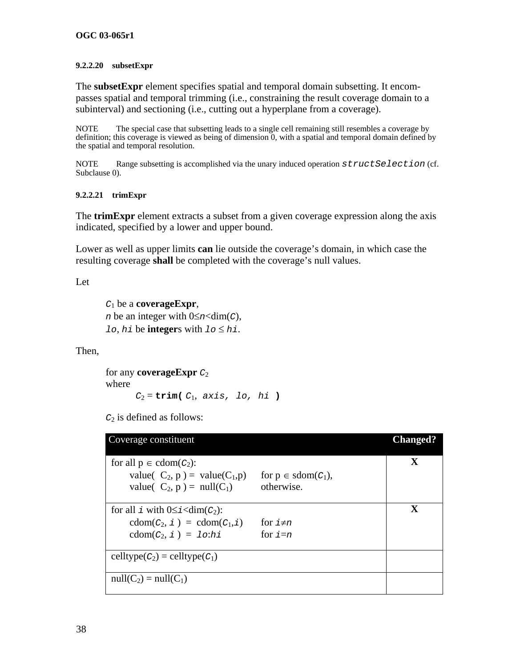#### <span id="page-43-0"></span>**9.2.2.20 subsetExpr**

The **subsetExpr** element specifies spatial and temporal domain subsetting. It encompasses spatial and temporal trimming (i.e., constraining the result coverage domain to a subinterval) and sectioning (i.e., cutting out a hyperplane from a coverage).

NOTE The special case that subsetting leads to a single cell remaining still resembles a coverage by definition; this coverage is viewed as being of dimension 0, with a spatial and temporal domain defined by the spatial and temporal resolution.

NOTE Range subsetting is accomplished via the unary induced operation *structSelection* (cf. Subclause [0](#page-34-3)).

#### **9.2.2.21 trimExpr**

The **trimExpr** element extracts a subset from a given coverage expression along the axis indicated, specified by a lower and upper bound.

Lower as well as upper limits **can** lie outside the coverage's domain, in which case the resulting coverage **shall** be completed with the coverage's null values.

Let

*C*1 be a **coverageExpr**, *n* be an integer with  $0 \leq n \leq \dim(C)$ , *lo*, *hi* be **integer**s with  $1o \leq hi$ .

Then,

for any **coverageExpr** *C*<sup>2</sup> where  $C_2 = \text{trim}(C_1, axis, lo, hi)$ 

| Coverage constituent                                                                 |                                | <b>Changed?</b> |
|--------------------------------------------------------------------------------------|--------------------------------|-----------------|
| for all $p \in \text{cdom}(C_2)$ :<br>value( $C_2$ , p) = value( $C_1$ , p)          | for $p \in \text{sdom}(C_1)$ , | $\mathbf X$     |
| value( $C_2$ , $p$ ) = null( $C_1$ )                                                 | otherwise.                     | X               |
| for all i with $0 \le i < dim(c_2)$ :<br>$\text{cdom}(C_2, i) = \text{cdom}(C_1, i)$ | for $i \neq n$                 |                 |
| $\text{cdom}(C_2, i) = \text{lo:} hi$                                                | for $i=n$                      |                 |
| celltype $(C_2)$ = celltype $(C_1)$                                                  |                                |                 |
| $null(C_2) = null(C_1)$                                                              |                                |                 |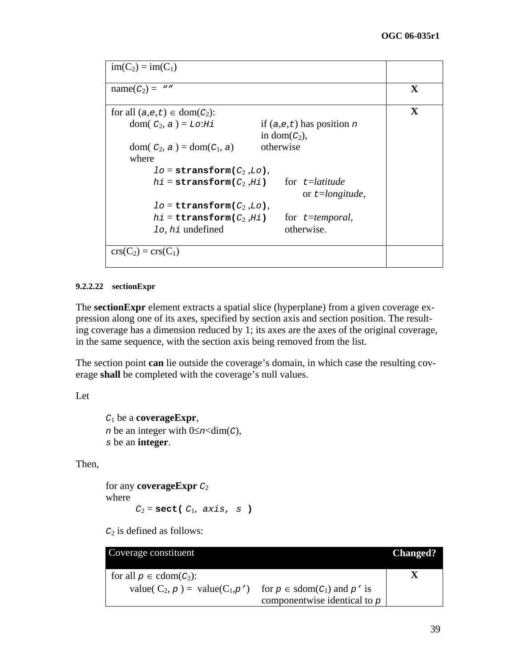```
im(C_2) = im(C_1)name(C_2) = "'' X
for all (a,e,t) \in \text{dom}(C_2): Xdom(C_2, a) = Lo:Hi if (a,e,t) has position n
                            in dom(C_2),
   dom(C_2, a) = dom(C_1, a) otherwise
    where 
         lo = stransform(C2 ,Lo), 
       hi =stransform(C_2, Hi) for t =latitude
                                     or t=longitude, 
         lo = ttransform(C2 ,Lo), 
       hi = \text{transform}(C_2, Hi) for t = temporal,
         lo, hi undefined otherwise. 
\text{crs}(C_2) = \text{crs}(C_1)
```
#### **9.2.2.22 sectionExpr**

The **sectionExpr** element extracts a spatial slice (hyperplane) from a given coverage expression along one of its axes, specified by section axis and section position. The resulting coverage has a dimension reduced by 1; its axes are the axes of the original coverage, in the same sequence, with the section axis being removed from the list.

The section point **can** lie outside the coverage's domain, in which case the resulting coverage **shall** be completed with the coverage's null values.

Let

```
C1 be a coverageExpr, 
n be an integer with 0 \leq n \leq \dim(C),
s be an integer.
```
Then,

for any **coverageExpr** *C*<sup>2</sup> where  $C_2$  = **sect(**  $C_1$ , *axis*, *s* )

| Coverage constituent                         |                                          | <b>Changed?</b> |
|----------------------------------------------|------------------------------------------|-----------------|
| for all $p \in \text{cdom}(C_2)$ :           |                                          |                 |
| value( $C_2$ , $p$ ) = value( $C_1$ , $p'$ ) | for $p \in \text{sdom}(C_1)$ and $p'$ is |                 |
|                                              | componentwise identical to $p$           |                 |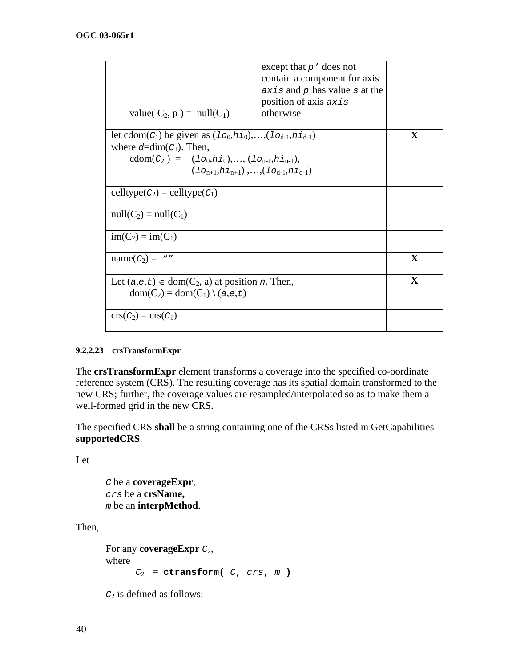|                                                                                                       | except that $p'$ does not<br>contain a component for axis<br>$axis$ and p has value s at the |              |
|-------------------------------------------------------------------------------------------------------|----------------------------------------------------------------------------------------------|--------------|
|                                                                                                       | position of axis axis                                                                        |              |
| value( $C_2$ , $p$ ) = null( $C_1$ )                                                                  | otherwise                                                                                    |              |
| let cdom( $C_1$ ) be given as $(1_{O_0,h_1,0}),,(1_{O_{d-1},h_{d-1}})$                                |                                                                                              | $\mathbf X$  |
| where $d=dim(C_1)$ . Then,                                                                            |                                                                                              |              |
| cdom( $C_2$ ) = (1 $o_0, h_{10}$ ),, (1 $o_{n-1}, h_{1n-1}$ ),                                        |                                                                                              |              |
| $(1_{O_{n+1}}, h_{1n+1}), , (1_{O_{d-1}}, h_{1d-1})$                                                  |                                                                                              |              |
| celltype $(C_2)$ = celltype $(C_1)$                                                                   |                                                                                              |              |
| $null(C_2) = null(C_1)$                                                                               |                                                                                              |              |
| $im(C_2) = im(C_1)$                                                                                   |                                                                                              |              |
| $name(C_2) = "$                                                                                       |                                                                                              | $\mathbf{X}$ |
| Let $(a,e,t) \in dom(C_2, a)$ at position <i>n</i> . Then,<br>$dom(C_2) = dom(C_1) \setminus (a.e,t)$ |                                                                                              | $\mathbf{X}$ |
| $\operatorname{crs}(C_2) = \operatorname{crs}(C_1)$                                                   |                                                                                              |              |

### **9.2.2.23 crsTransformExpr**

The **crsTransformExpr** element transforms a coverage into the specified co-oordinate reference system (CRS). The resulting coverage has its spatial domain transformed to the new CRS; further, the coverage values are resampled/interpolated so as to make them a well-formed grid in the new CRS.

The specified CRS **shall** be a string containing one of the CRSs listed in GetCapabilities **supportedCRS**.

Let

*C* be a **coverageExpr**, *crs* be a **crsName,**  *m* be an **interpMethod**.

Then,

```
For any coverageExpr C2, 
where 
      C_2 = ctransform( C, crs, m)
```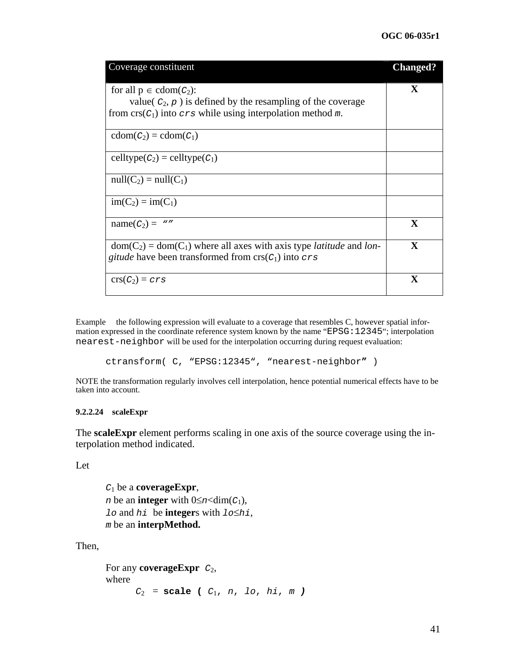| Coverage constituent                                                                                                                                                                    | <b>Changed?</b> |
|-----------------------------------------------------------------------------------------------------------------------------------------------------------------------------------------|-----------------|
| for all $p \in \text{cdom}(C_2)$ :<br>value( $c_2$ , $p$ ) is defined by the resampling of the coverage<br>from $\text{crs}(C_1)$ into $\text{crs}$ while using interpolation method m. | X               |
| $\text{cdom}(C_2) = \text{cdom}(C_1)$                                                                                                                                                   |                 |
| $\text{celltype}(C_2) = \text{celltype}(C_1)$                                                                                                                                           |                 |
| $null(C_2) = null(C_1)$                                                                                                                                                                 |                 |
| $im(C_2) = im(C_1)$                                                                                                                                                                     |                 |
| $name(C_2) = "$                                                                                                                                                                         | $\mathbf X$     |
| $dom(C_2) = dom(C_1)$ where all axes with axis type <i>latitude</i> and <i>lon</i> -<br><i>gitude</i> have been transformed from $\text{crs}(C_1)$ into $\text{crs}$                    | $\mathbf X$     |
| $crs(C_2)=crs$                                                                                                                                                                          | $\mathbf x$     |

Example the following expression will evaluate to a coverage that resembles C, however spatial information expressed in the coordinate reference system known by the name " EPSG:12345"; interpolation nearest-neighbor will be used for the interpolation occurring during request evaluation:

ctransform( C, "EPSG:12345", "nearest-neighbor**"** )

NOTE the transformation regularly involves cell interpolation, hence potential numerical effects have to be taken into account.

#### <span id="page-46-0"></span>**9.2.2.24 scaleExpr**

The **scaleExpr** element performs scaling in one axis of the source coverage using the interpolation method indicated.

#### Let

*C*1 be a **coverageExpr**, *n* be an **integer** with  $0 \leq n \leq \dim(C_1)$ , *lo* and *hi* be **integer**s with *lo*≤*hi*, *m* be an **interpMethod.**

Then,

```
For any coverageExpr C2, 
where 
      C_2 = scale ( C_1, n, lo, hi, m )
```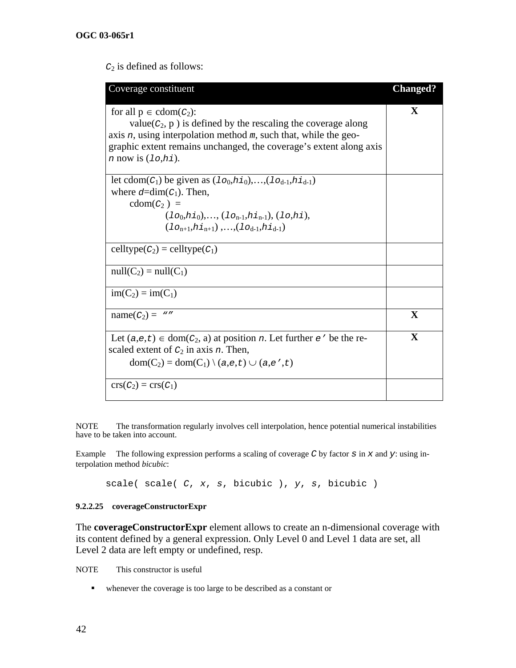*C*2 is defined as follows:

| Coverage constituent                                                            | <b>Changed?</b> |
|---------------------------------------------------------------------------------|-----------------|
| for all $p \in \text{cdom}(C_2)$ :                                              | X               |
| $value(C_2, p)$ is defined by the rescaling the coverage along                  |                 |
| axis $n$ , using interpolation method $m$ , such that, while the geo-           |                 |
| graphic extent remains unchanged, the coverage's extent along axis              |                 |
| $n$ now is $(1\circ, h\dot{\mathbf{i}})$ .                                      |                 |
|                                                                                 |                 |
| let cdom( $C_1$ ) be given as $(10, h1)$ ,, $(10_{d-1}, h1_{d-1})$              |                 |
| where $d=dim(C_1)$ . Then,                                                      |                 |
| $\text{cdom}(C_2)$ =                                                            |                 |
| $(1o_0, h_{10}), \ldots, (1o_{n-1}, h_{1n-1}), (1o, h_{1}),$                    |                 |
| $(1_{O_{n+1}}, h_{1_{n+1}}), \ldots, (1_{O_{d-1}}, h_{1_{d-1}})$                |                 |
| celltype $(C_2)$ = celltype $(C_1)$                                             |                 |
| $null(C_2) = null(C_1)$                                                         |                 |
| $im(C_2) = im(C_1)$                                                             |                 |
| $name(C_2) = "$                                                                 | X               |
| Let $(a,e,t) \in \text{dom}(C_2, a)$ at position n. Let further $e'$ be the re- | $\mathbf X$     |
| scaled extent of $C_2$ in axis <i>n</i> . Then,                                 |                 |
| $dom(C_2) = dom(C_1) \setminus (a,e,t) \cup (a,e',t)$                           |                 |
| $\operatorname{crs}(C_2) = \operatorname{crs}(C_1)$                             |                 |

NOTE The transformation regularly involves cell interpolation, hence potential numerical instabilities have to be taken into account.

Example The following expression performs a scaling of coverage *C* by factor *s* in *x* and *y*: using interpolation method *bicubic*:

scale( scale( *C*, *x*, *s*, bicubic ), *y*, *s*, bicubic )

#### <span id="page-47-0"></span>**9.2.2.25 coverageConstructorExpr**

The **coverageConstructorExpr** element allows to create an n-dimensional coverage with its content defined by a general expression. Only Level 0 and Level 1 data are set, all Level 2 data are left empty or undefined, resp.

NOTE This constructor is useful

whenever the coverage is too large to be described as a constant or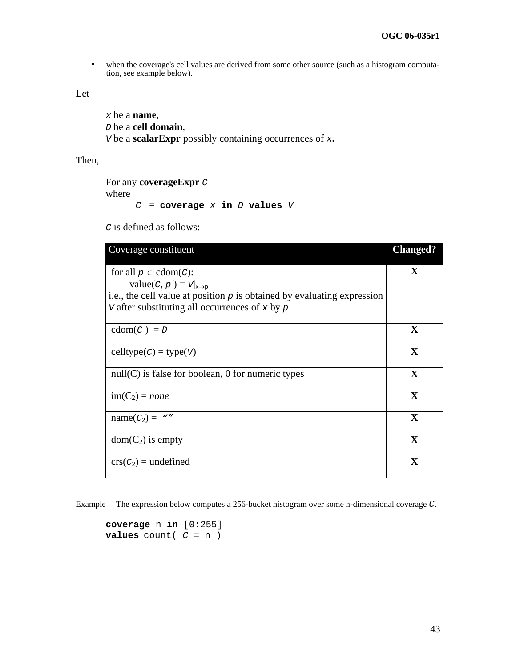when the coverage's cell values are derived from some other source (such as a histogram computation, see example below).

Let

```
x be a name, 
D be a cell domain, 
V be a scalarExpr possibly containing occurrences of x.
```
Then,

```
For any coverageExpr C
where 
        C = \text{coverage } x \text{ in } D \text{ values } V
```
*C* is defined as follows:

| Coverage constituent                                                                     | <b>Changed?</b> |
|------------------------------------------------------------------------------------------|-----------------|
| for all $p \in \text{cdom}(C)$ :<br>value( <i>C</i> , <i>p</i> ) = $V _{x\rightarrow p}$ | $\mathbf X$     |
| i.e., the cell value at position $p$ is obtained by evaluating expression                |                 |
| v after substituting all occurrences of x by $p$                                         |                 |
| $\text{cdom}(C) = D$                                                                     | X               |
| $celltype(C) = type(V)$                                                                  | $\mathbf{X}$    |
| $null(C)$ is false for boolean, 0 for numeric types                                      | $\mathbf X$     |
| $im(C_2) = none$                                                                         | X               |
| $name(C_2) = "$                                                                          | $\mathbf X$     |
| $dom(C_2)$ is empty                                                                      | X               |
| $crs(C_2) =$ undefined                                                                   | X               |

Example The expression below computes a 256-bucket histogram over some n-dimensional coverage *C*.

**coverage** n **in** [0:255] **values** count( $C = n$ )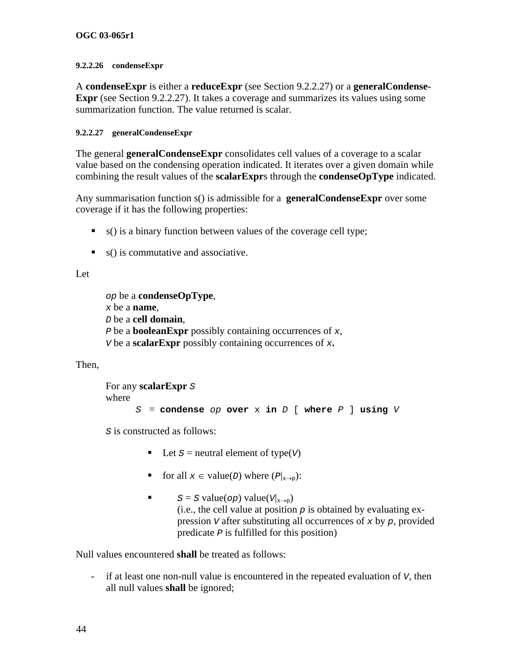#### <span id="page-49-0"></span>**9.2.2.26 condenseExpr**

A **condenseExpr** is either a **reduceExpr** (see Section [9.2.2.27](#page-50-1)) or a **generalCondense-Expr** (see Section [9.2.2.27](#page-49-1)). It takes a coverage and summarizes its values using some summarization function. The value returned is scalar.

### <span id="page-49-1"></span>**9.2.2.27 generalCondenseExpr**

The general **generalCondenseExpr** consolidates cell values of a coverage to a scalar value based on the condensing operation indicated. It iterates over a given domain while combining the result values of the **scalarExpr**s through the **condenseOpType** indicated.

Any summarisation function s() is admissible for a **generalCondenseExpr** over some coverage if it has the following properties:

- $\bullet$  s() is a binary function between values of the coverage cell type;
- $\bullet$  s() is commutative and associative.

## Let

```
op be a condenseOpType, 
x be a name, 
D be a cell domain, 
P be a booleanExpr possibly containing occurrences of x, 
V be a scalarExpr possibly containing occurrences of x.
```
## Then,

```
For any scalarExpr S
where 
     S = condense op over x in D [ where P ] using V
```
*S* is constructed as follows:

- Let  $S$  = neutral element of type( $V$ )
- **for all**  $x \in value(D)$  where  $(P|_{x\to p})$ :
- $S = S$  value(*op*) value(*V*|<sub>x→p</sub>) (i.e., the cell value at position  $p$  is obtained by evaluating expression *V* after substituting all occurrences of *x* by *p*, provided predicate *P* is fulfilled for this position)

Null values encountered **shall** be treated as follows:

- if at least one non-null value is encountered in the repeated evaluation of *V*, then all null values **shall** be ignored;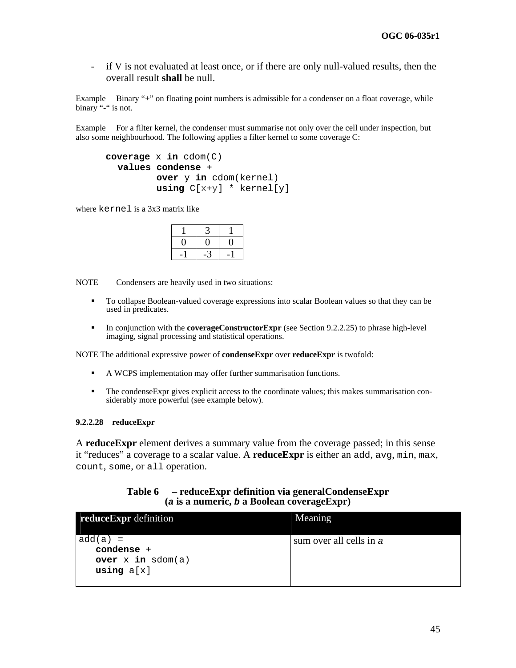- if V is not evaluated at least once, or if there are only null-valued results, then the overall result **shall** be null.

Example Binary "+" on floating point numbers is admissible for a condenser on a float coverage, while binary "-" is not.

<span id="page-50-1"></span>Example For a filter kernel, the condenser must summarise not only over the cell under inspection, but also some neighbourhood. The following applies a filter kernel to some coverage C:

```
coverage x in cdom(C) 
  values condense + 
           over y in cdom(kernel) 
           using C[x+y] * kernel[y]
```
where kernel is a 3x3 matrix like

NOTE Condensers are heavily used in two situations:

- To collapse Boolean-valued coverage expressions into scalar Boolean values so that they can be used in predicates.
- In conjunction with the **coverageConstructorExpr** (see Section [9.2.2.25\)](#page-47-0) to phrase high-level imaging, signal processing and statistical operations.

NOTE The additional expressive power of **condenseExpr** over **reduceExpr** is twofold:

- A WCPS implementation may offer further summarisation functions.
- The condenseExpr gives explicit access to the coordinate values; this makes summarisation considerably more powerful (see example below).

#### **9.2.2.28 reduceExpr**

A **reduceExpr** element derives a summary value from the coverage passed; in this sense it "reduces" a coverage to a scalar value. A **reduceExpr** is either an add, avg, min, max, count, some, or all operation.

#### **Table 6 – reduceExpr definition via generalCondenseExpr (***a* **is a numeric,** *b* **a Boolean coverageExpr)**

<span id="page-50-0"></span>

| reduceExpr definition                                               | Meaning                 |
|---------------------------------------------------------------------|-------------------------|
| $add(a) =$<br>$condense +$<br>over $x$ in $sdom(a)$<br>using $a[x]$ | sum over all cells in a |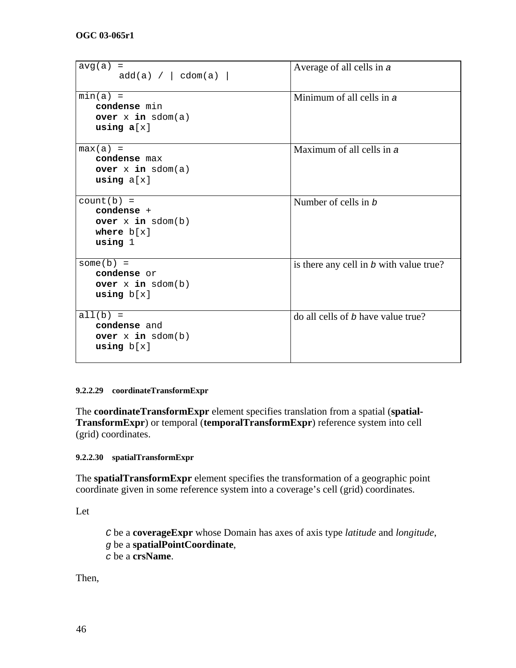| avg(a)<br>$=$<br>add(a) /   codom(a)                                               | Average of all cells in a               |
|------------------------------------------------------------------------------------|-----------------------------------------|
| $min(a) =$<br>condense min<br>over $x$ in $sdom(a)$<br>using $a[x]$                | Minimum of all cells in $\alpha$        |
| $max(a) =$<br>condense max<br>over $x$ in $sdom(a)$<br>using $a[x]$                | Maximum of all cells in $\alpha$        |
| $count(b) =$<br>condense $+$<br>over $x$ in $sdom(b)$<br>where $b[x]$<br>using $1$ | Number of cells in b                    |
| $some(b) =$<br>condense or<br>over $x$ in $sdom(b)$<br>using $b[x]$                | is there any cell in b with value true? |
| $all(b) =$<br>condense and<br>over $x$ in $sdom(b)$<br>using $b[x]$                | do all cells of b have value true?      |

#### <span id="page-51-0"></span>**9.2.2.29 coordinateTransformExpr**

The **coordinateTransformExpr** element specifies translation from a spatial (**spatial-TransformExpr**) or temporal (**temporalTransformExpr**) reference system into cell (grid) coordinates.

#### **9.2.2.30 spatialTransformExpr**

The **spatialTransformExpr** element specifies the transformation of a geographic point coordinate given in some reference system into a coverage's cell (grid) coordinates.

Let

*C* be a **coverageExpr** whose Domain has axes of axis type *latitude* and *longitude*, *g* be a **spatialPointCoordinate**, *c* be a **crsName**.

Then,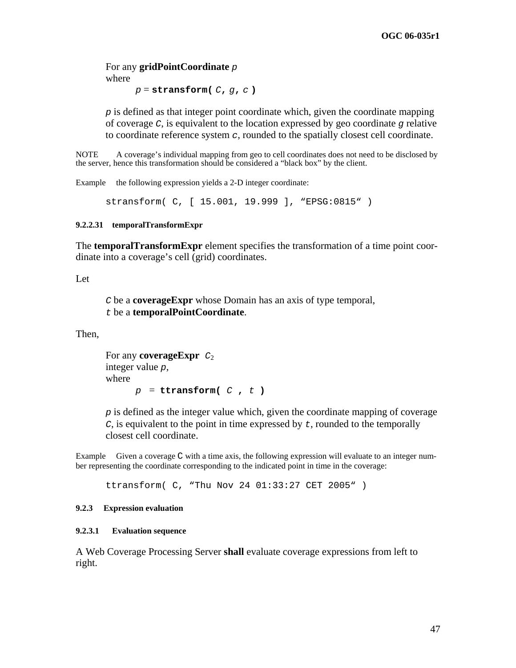<span id="page-52-0"></span>For any **gridPointCoordinate** *p* where

*p* = **stransform(** *C***,** *g***,** *c* **)**

*p* is defined as that integer point coordinate which, given the coordinate mapping of coverage *C*, is equivalent to the location expressed by geo coordinate *g* relative to coordinate reference system *c*, rounded to the spatially closest cell coordinate.

NOTE A coverage's individual mapping from geo to cell coordinates does not need to be disclosed by the server, hence this transformation should be considered a "black box" by the client.

Example the following expression yields a 2-D integer coordinate:

```
stransform( C, [ 15.001, 19.999 ], "EPSG:0815" )
```
#### **9.2.2.31 temporalTransformExpr**

The **temporalTransformExpr** element specifies the transformation of a time point coordinate into a coverage's cell (grid) coordinates.

Let

*C* be a **coverageExpr** whose Domain has an axis of type temporal, *t* be a **temporalPointCoordinate**.

Then,

For any **coverageExpr**  $C_2$ integer value *p*, where  $p =$  **ttransform(**  $C$ ,  $t$ )

*p* is defined as the integer value which, given the coordinate mapping of coverage *C*, is equivalent to the point in time expressed by *t*, rounded to the temporally closest cell coordinate.

Example Given a coverage C with a time axis, the following expression will evaluate to an integer number representing the coordinate corresponding to the indicated point in time in the coverage:

ttransform( C, "Thu Nov 24 01:33:27 CET 2005" )

#### **9.2.3 Expression evaluation**

#### **9.2.3.1 Evaluation sequence**

A Web Coverage Processing Server **shall** evaluate coverage expressions from left to right.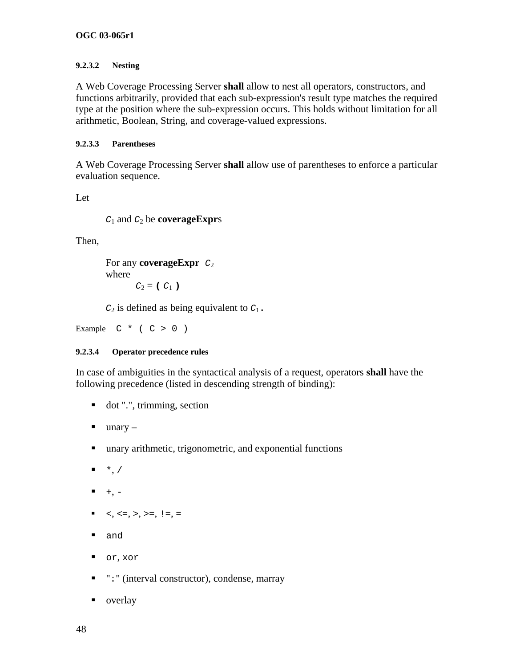#### **OGC 03-065r1**

#### **9.2.3.2 Nesting**

A Web Coverage Processing Server **shall** allow to nest all operators, constructors, and functions arbitrarily, provided that each sub-expression's result type matches the required type at the position where the sub-expression occurs. This holds without limitation for all arithmetic, Boolean, String, and coverage-valued expressions.

#### **9.2.3.3 Parentheses**

A Web Coverage Processing Server **shall** allow use of parentheses to enforce a particular evaluation sequence.

Let

```
C1 and C2 be coverageExprs
```
Then,

```
For any coverageExpr C2
where 
      C_2 = (C_1)
```
 $C_2$  is defined as being equivalent to  $C_1$ .

Example  $C * (C > 0)$ 

#### **9.2.3.4 Operator precedence rules**

In case of ambiguities in the syntactical analysis of a request, operators **shall** have the following precedence (listed in descending strength of binding):

- dot ".", trimming, section
- $\blacksquare$  unary –
- unary arithmetic, trigonometric, and exponential functions
- $\bullet$ , /
- $+$ ,  $-$
- $\bullet \quad <, \leq , \geq , \geq , \geq , \leq , \leq$
- and
- or, xor
- ": " (interval constructor), condense, marray
- overlay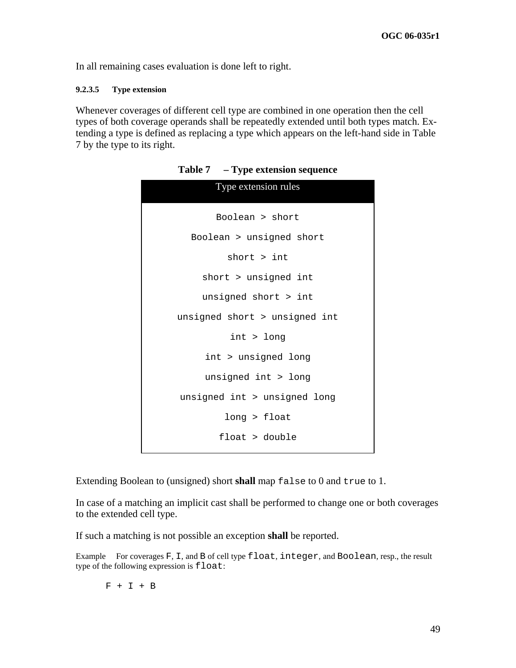In all remaining cases evaluation is done left to right.

#### **9.2.3.5 Type extension**

<span id="page-54-0"></span>Whenever coverages of different cell type are combined in one operation then the cell types of both coverage operands shall be repeatedly extended until both types match. Extending a type is defined as replacing a type which appears on the left-hand side in [Table](#page-54-0)  [7](#page-54-0) by the type to its right.

| Type extension rules          |
|-------------------------------|
| Boolean > short               |
| Boolean > unsigned short      |
| short > int                   |
| short > unsigned int          |
| unsigned short > int          |
| unsigned short > unsigned int |
| $int$ > $long$                |
| int > unsigned long           |
| unsigned int > long           |
| unsigned int > unsigned long  |
| long > float                  |
| float > double                |

**Table 7 – Type extension sequence** 

Extending Boolean to (unsigned) short **shall** map false to 0 and true to 1.

In case of a matching an implicit cast shall be performed to change one or both coverages to the extended cell type.

If such a matching is not possible an exception **shall** be reported.

Example For coverages F, I, and B of cell type float, integer, and Boolean, resp., the result type of the following expression is  $float:$ 

 $F + I + B$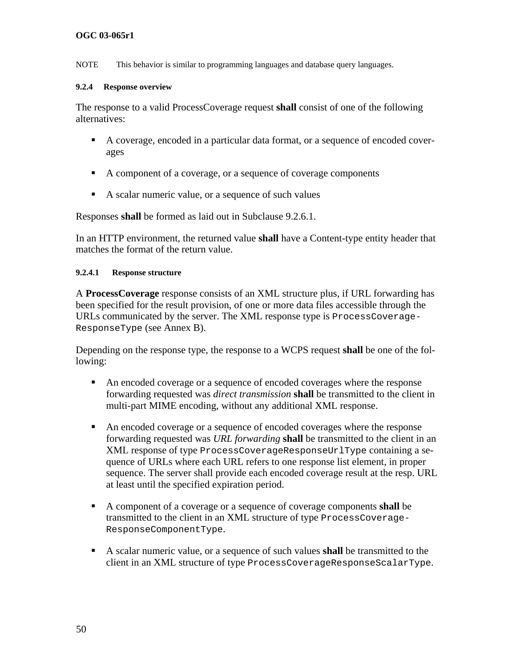### <span id="page-55-0"></span>**OGC 03-065r1**

NOTE This behavior is similar to programming languages and database query languages.

#### **9.2.4 Response overview**

The response to a valid ProcessCoverage request **shall** consist of one of the following alternatives:

- A coverage, encoded in a particular data format, or a sequence of encoded coverages
- A component of a coverage, or a sequence of coverage components
- A scalar numeric value, or a sequence of such values

Responses **shall** be formed as laid out in Subclause [9.2.6.1](#page-57-2).

In an HTTP environment, the returned value **shall** have a Content-type entity header that matches the format of the return value.

#### **9.2.4.1 Response structure**

A **ProcessCoverage** response consists of an XML structure plus, if URL forwarding has been specified for the result provision, of one or more data files accessible through the URLs communicated by the server. The XML response type is ProcessCoverage-ResponseType (see Annex B).

Depending on the response type, the response to a WCPS request **shall** be one of the following:

- An encoded coverage or a sequence of encoded coverages where the response forwarding requested was *direct transmission* **shall** be transmitted to the client in multi-part MIME encoding, without any additional XML response.
- An encoded coverage or a sequence of encoded coverages where the response forwarding requested was *URL forwarding* **shall** be transmitted to the client in an XML response of type ProcessCoverageResponseUrlType containing a sequence of URLs where each URL refers to one response list element, in proper sequence. The server shall provide each encoded coverage result at the resp. URL at least until the specified expiration period.
- A component of a coverage or a sequence of coverage components **shall** be transmitted to the client in an XML structure of type ProcessCoverage-ResponseComponentType.
- A scalar numeric value, or a sequence of such values **shall** be transmitted to the client in an XML structure of type ProcessCoverageResponseScalarType.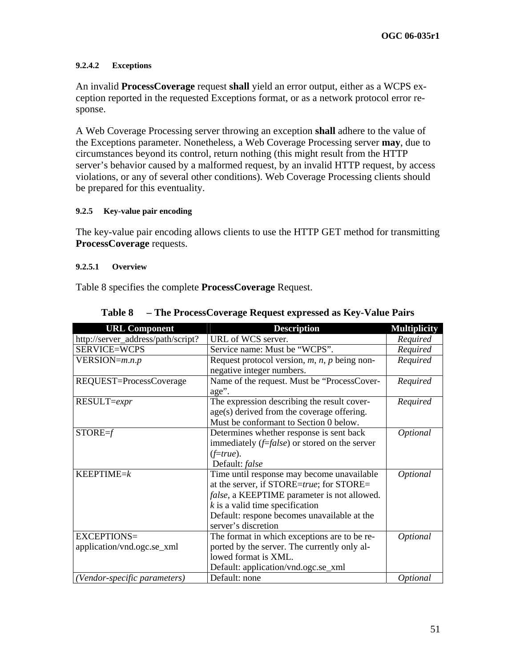#### <span id="page-56-0"></span>**9.2.4.2 Exceptions**

An invalid **ProcessCoverage** request **shall** yield an error output, either as a WCPS exception reported in the requested Exceptions format, or as a network protocol error response.

A Web Coverage Processing server throwing an exception **shall** adhere to the value of the Exceptions parameter. Nonetheless, a Web Coverage Processing server **may**, due to circumstances beyond its control, return nothing (this might result from the HTTP server's behavior caused by a malformed request, by an invalid HTTP request, by access violations, or any of several other conditions). Web Coverage Processing clients should be prepared for this eventuality.

#### **9.2.5 Key-value pair encoding**

The key-value pair encoding allows clients to use the HTTP GET method for transmitting **ProcessCoverage** requests.

#### **9.2.5.1 Overview**

[Table 8](#page-56-2) specifies the complete **ProcessCoverage** Request.

<span id="page-56-2"></span><span id="page-56-1"></span>

| <b>URL Component</b>               | <b>Description</b>                                   | <b>Multiplicity</b> |
|------------------------------------|------------------------------------------------------|---------------------|
| http://server_address/path/script? | URL of WCS server.                                   | Required            |
| SERVICE=WCPS                       | Service name: Must be "WCPS".                        | Required            |
| $VERSION = m.n.p$                  | Request protocol version, $m$ , $n$ , $p$ being non- | Required            |
|                                    | negative integer numbers.                            |                     |
| REQUEST=ProcessCoverage            | Name of the request. Must be "ProcessCover-<br>age". | Required            |
| RESULT=expr                        | The expression describing the result cover-          | Required            |
|                                    | age(s) derived from the coverage offering.           |                     |
|                                    | Must be conformant to Section 0 below.               |                     |
| $STORE=f$                          | Determines whether response is sent back             | Optional            |
|                                    | immediately $(f=false)$ or stored on the server      |                     |
|                                    | $(f=true)$ .                                         |                     |
|                                    | Default: false                                       |                     |
| $KEEPTIME=k$                       | Time until response may become unavailable           | Optional            |
|                                    | at the server, if STORE=true; for STORE=             |                     |
|                                    | false, a KEEPTIME parameter is not allowed.          |                     |
|                                    | $k$ is a valid time specification                    |                     |
|                                    | Default: respone becomes unavailable at the          |                     |
|                                    | server's discretion                                  |                     |
| EXCEPTIONS=                        | The format in which exceptions are to be re-         | Optional            |
| application/vnd.ogc.se_xml         | ported by the server. The currently only al-         |                     |
|                                    | lowed format is XML.                                 |                     |
|                                    | Default: application/vnd.ogc.se_xml                  |                     |
| (Vendor-specific parameters)       | Default: none                                        | <i>Optional</i>     |

**Table 8 – The ProcessCoverage Request expressed as Key-Value Pairs**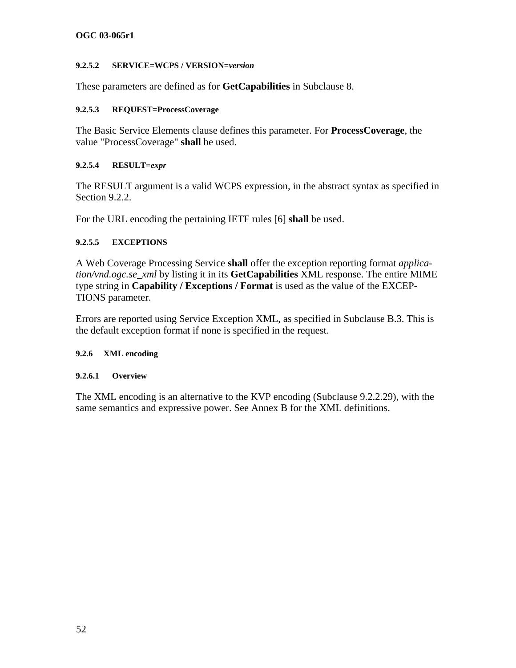#### <span id="page-57-0"></span>**OGC 03-065r1**

#### **9.2.5.2 SERVICE=WCPS / VERSION=***version*

These parameters are defined as for **GetCapabilities** in Subclause [8](#page-25-1).

#### **9.2.5.3 REQUEST=ProcessCoverage**

The Basic Service Elements clause defines this parameter. For **ProcessCoverage**, the value "ProcessCoverage" **shall** be used.

#### **9.2.5.4 RESULT=***expr*

The RESULT argument is a valid WCPS expression, in the abstract syntax as specified in Section [9.2.2](#page-27-1).

For the URL encoding the pertaining IETF rules [6] **shall** be used.

### **9.2.5.5 EXCEPTIONS**

A Web Coverage Processing Service **shall** offer the exception reporting format *application/vnd.ogc.se\_xml* by listing it in its **GetCapabilities** XML response. The entire MIME type string in **Capability / Exceptions / Format** is used as the value of the EXCEP-TIONS parameter.

Errors are reported using Service Exception XML, as specified in Subclause B.3. This is the default exception format if none is specified in the request.

#### <span id="page-57-1"></span>**9.2.6 XML encoding**

#### <span id="page-57-2"></span>**9.2.6.1 Overview**

The XML encoding is an alternative to the KVP encoding (Subclause [9.2.2.29](#page-56-1)), with the same semantics and expressive power. See Annex B for the XML definitions.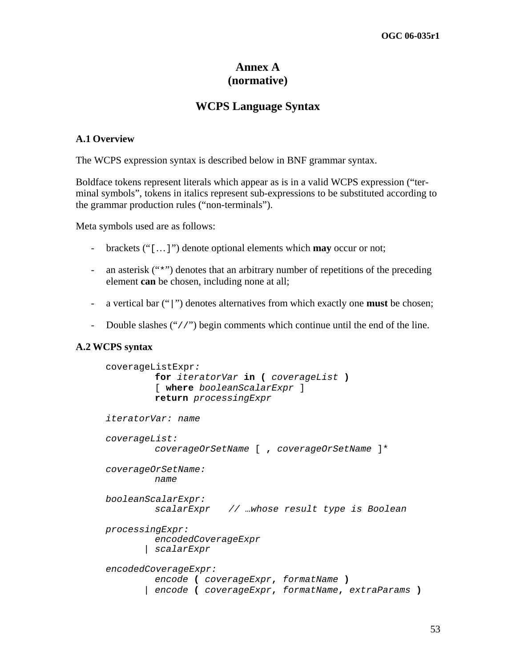## **Annex A (normative)**

## **WCPS Language Syntax**

#### **A.1 Overview**

The WCPS expression syntax is described below in BNF grammar syntax.

Boldface tokens represent literals which appear as is in a valid WCPS expression ("terminal symbols", tokens in italics represent sub-expressions to be substituted according to the grammar production rules ("non-terminals").

Meta symbols used are as follows:

- brackets ("[…]") denote optional elements which **may** occur or not;
- an asterisk ("\*") denotes that an arbitrary number of repetitions of the preceding element **can** be chosen, including none at all;
- a vertical bar ("|") denotes alternatives from which exactly one **must** be chosen;
- Double slashes ("//") begin comments which continue until the end of the line.

#### **A.2 WCPS syntax**

```
coverageListExpr: 
          for iteratorVar in ( coverageList )
          [ where booleanScalarExpr ] 
          return processingExpr 
iteratorVar: name 
coverageList: 
          coverageOrSetName [ , coverageOrSetName ]*
coverageOrSetName: 
          name
booleanScalarExpr: 
          scalarExpr // …whose result type is Boolean
processingExpr: 
          encodedCoverageExpr 
        | scalarExpr 
encodedCoverageExpr: 
          encode ( coverageExpr, formatName )
        | encode ( coverageExpr, formatName, extraParams )
```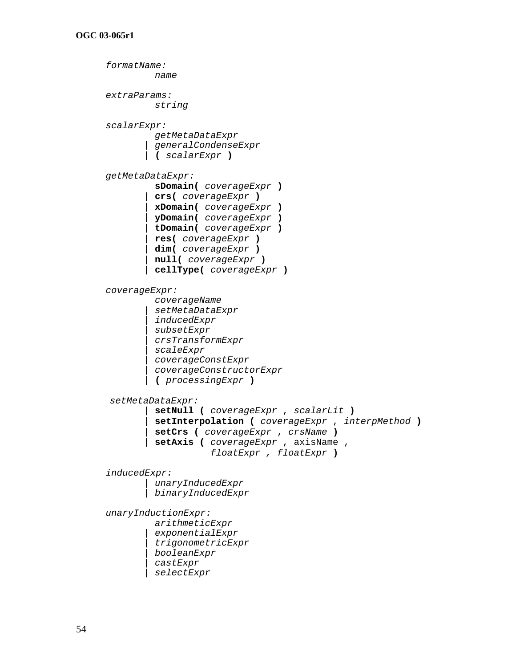*formatName: name extraParams: string scalarExpr: getMetaDataExpr | generalCondenseExpr |* **(** *scalarExpr* **)** *getMetaDataExpr:* **sDomain(** *coverageExpr* **)**  *|* **crs(** *coverageExpr* **)**  *|* **xDomain(** *coverageExpr* **)**  *|* **yDomain(** *coverageExpr* **)**  *|* **tDomain(** *coverageExpr* **)**  *|* **res(** *coverageExpr* **)**  *|* **dim(** *coverageExpr* **)**  *|* **null(** *coverageExpr* **)**  *|* **cellType(** *coverageExpr* **)** *coverageExpr: coverageName | setMetaDataExpr | inducedExpr | subsetExpr | crsTransformExpr | scaleExpr | coverageConstExpr | coverageConstructorExpr |* **(** *processingExpr* **)**  *setMetaDataExpr: |* **setNull (** *coverageExpr* , *scalarLit* **)**  *|* **setInterpolation (** *coverageExpr* , *interpMethod* **)**  *|* **setCrs (** *coverageExpr* , *crsName* **)**  *|* **setAxis (** *coverageExpr* , axisName ,  *floatExpr , floatExpr* **)** *inducedExpr: | unaryInducedExpr | binaryInducedExpr unaryInductionExpr: arithmeticExpr | exponentialExpr | trigonometricExpr | booleanExpr | castExpr | selectExpr*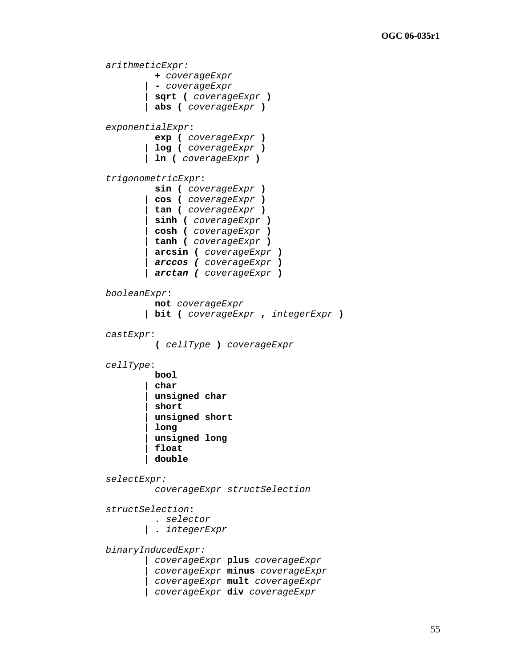*arithmeticExpr:* **+** *coverageExpr |* **-** *coverageExpr |* **sqrt (** *coverageExpr* **)**  *|* **abs (** *coverageExpr* **)** *exponentialExpr*: **exp (** *coverageExpr* **)**  *|* **log (** *coverageExpr* **)**  *|* **ln (** *coverageExpr* **)** *trigonometricExpr*: **sin (** *coverageExpr* **)**  *|* **cos (** *coverageExpr* **)**  *|* **tan (** *coverageExpr* **)**  *|* **sinh (** *coverageExpr* **)**  *|* **cosh (** *coverageExpr* **)**  *|* **tanh (** *coverageExpr* **)**  *|* **arcsin (** *coverageExpr* **)**  *| arccos ( coverageExpr* **)**  *| arctan ( coverageExpr* **)** *booleanExpr*: **not** *coverageExpr |* **bit (** *coverageExpr* **,** *integerExpr* **)** *castExpr*: **(** *cellType* **)** *coverageExpr cellType*: **bool**  *|* **char**  *|* **unsigned char**  *|* **short**  *|* **unsigned short**  *|* **long**  *|* **unsigned long**  *|* **float**  *|* **double** *selectExpr: coverageExpr structSelection structSelection*:  *. selector | . integerExpr binaryInducedExpr: | coverageExpr* **plus** *coverageExpr | coverageExpr* **minus** *coverageExpr | coverageExpr* **mult** *coverageExpr | coverageExpr* **div** *coverageExpr*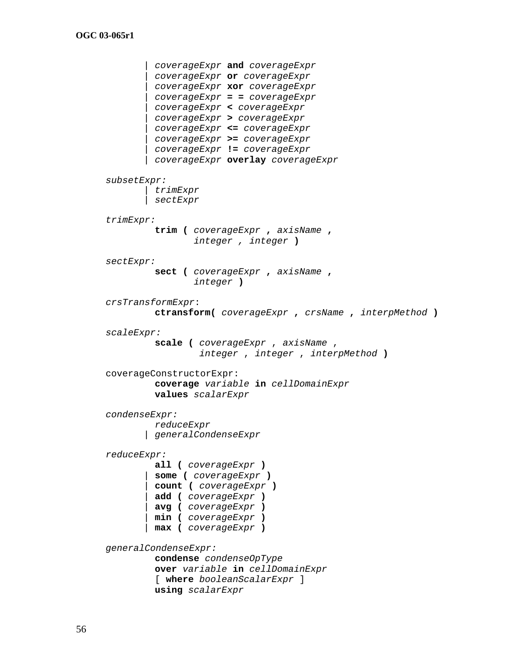```
 | coverageExpr and coverageExpr 
        | coverageExpr or coverageExpr 
        | coverageExpr xor coverageExpr 
        | coverageExpr = = coverageExpr 
        | coverageExpr < coverageExpr 
        | coverageExpr > coverageExpr 
        | coverageExpr <= coverageExpr 
        | coverageExpr >= coverageExpr 
        | coverageExpr != coverageExpr 
        | coverageExpr overlay coverageExpr
subsetExpr: 
        | trimExpr 
        | sectExpr 
trimExpr: 
          trim ( coverageExpr , axisName , 
                  integer , integer )
sectExpr: 
          sect ( coverageExpr , axisName , 
                  integer )
crsTransformExpr: 
          ctransform( coverageExpr , crsName , interpMethod ) 
scaleExpr: 
          scale ( coverageExpr , axisName , 
                   integer , integer , interpMethod )
coverageConstructorExpr: 
          coverage variable in cellDomainExpr
          values scalarExpr 
condenseExpr: 
          reduceExpr 
        | generalCondenseExpr 
reduceExpr: 
          all ( coverageExpr )
        | some ( coverageExpr )
        | count ( coverageExpr )
        | add ( coverageExpr )
        | avg ( coverageExpr ) 
        | min ( coverageExpr ) 
        | max ( coverageExpr )
generalCondenseExpr: 
          condense condenseOpType 
          over variable in cellDomainExpr 
          [ where booleanScalarExpr ]
          using scalarExpr
```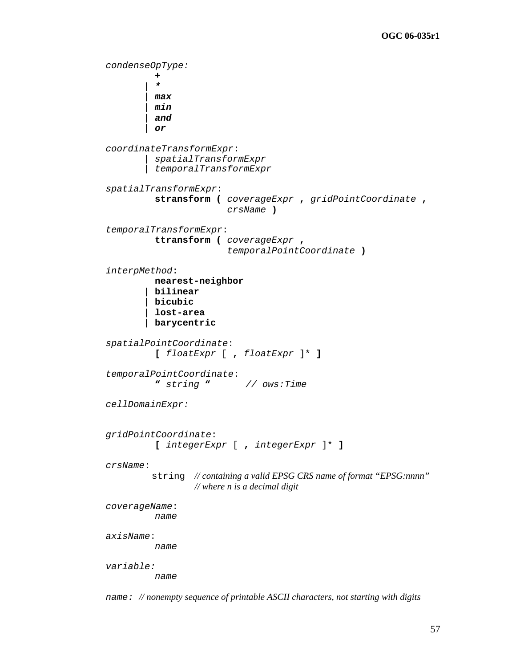```
condenseOpType: 
 +
 | *
          | max
          | min
          | and
          | or
coordinateTransformExpr: 
         | spatialTransformExpr 
         | temporalTransformExpr 
spatialTransformExpr: 
           stransform ( coverageExpr , gridPointCoordinate , 
                         crsName ) 
temporalTransformExpr: 
           ttransform ( coverageExpr , 
                          temporalPointCoordinate ) 
interpMethod: 
           nearest-neighbor
          | bilinear
          | bicubic
          | lost-area
          | barycentric 
spatialPointCoordinate:
           [ floatExpr [ , floatExpr ]* ]
temporalPointCoordinate:
           " string " // ows:Time 
cellDomainExpr: 
gridPointCoordinate:
           [ integerExpr [ , integerExpr ]* ]
crsName: 
          string // containing a valid EPSG CRS name of format "EPSG:nnnn" 
                  // where n is a decimal digit
coverageName:
           name 
axisName:
           name 
variable: 
          name
```
*name: // nonempty sequence of printable ASCII characters, not starting with digits*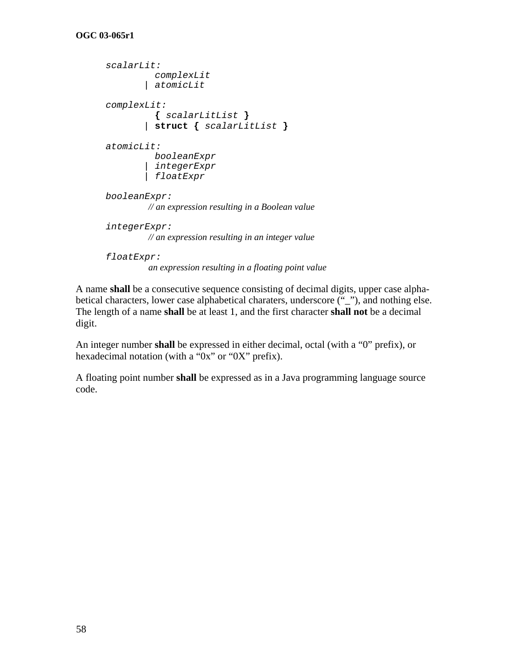```
scalarLit: 
            complexLit 
         | atomicLit 
complexLit: 
            { scalarLitList }
         | struct { scalarLitList }
atomicLit: 
            booleanExpr 
         | integerExpr 
         | floatExpr
booleanExpr: 
          // an expression resulting in a Boolean value 
integerExpr: 
          // an expression resulting in an integer value 
floatExpr:
```
 *an expression resulting in a floating point value* 

A name **shall** be a consecutive sequence consisting of decimal digits, upper case alphabetical characters, lower case alphabetical charaters, underscore ("\_"), and nothing else. The length of a name **shall** be at least 1, and the first character **shall not** be a decimal digit.

An integer number **shall** be expressed in either decimal, octal (with a "0" prefix), or hexadecimal notation (with a "0x" or "0X" prefix).

A floating point number **shall** be expressed as in a Java programming language source code.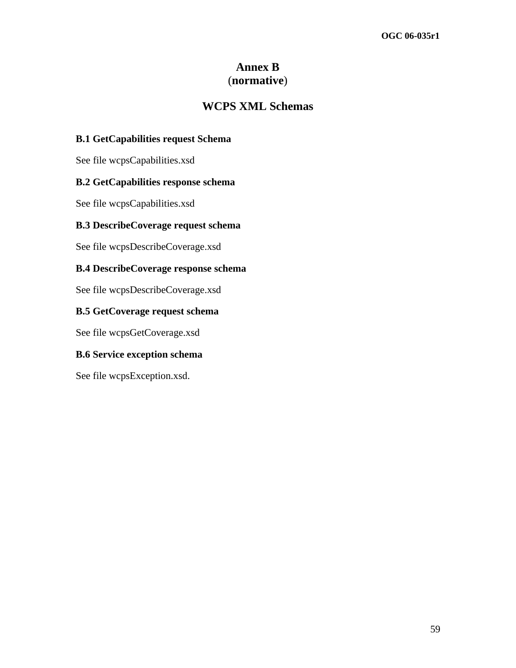## **Annex B**  (**normative**)

## **WCPS XML Schemas**

## **B.1 GetCapabilities request Schema**

See file wcpsCapabilities.xsd

## **B.2 GetCapabilities response schema**

See file wcpsCapabilities.xsd

## **B.3 DescribeCoverage request schema**

See file wcpsDescribeCoverage.xsd

### **B.4 DescribeCoverage response schema**

See file wcpsDescribeCoverage.xsd

## **B.5 GetCoverage request schema**

See file wcpsGetCoverage.xsd

### **B.6 Service exception schema**

See file wcpsException.xsd.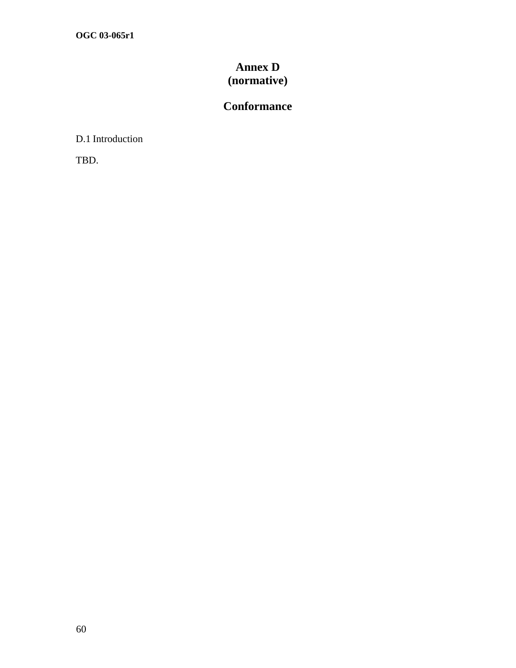## **Annex D (normative)**

## **Conformance**

D.1 Introduction

TBD.